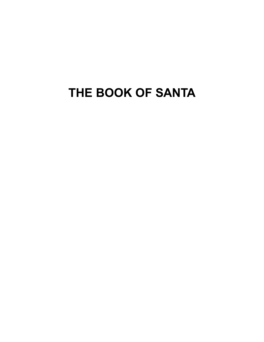# **THE BOOK OF SANTA**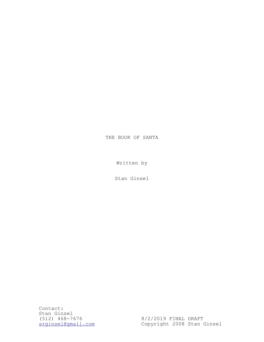## THE BOOK OF SANTA

Written by

Stan Ginsel

Contact: Stan Ginsel (512) 468-7676 8/2/2019 FINAL DRAFT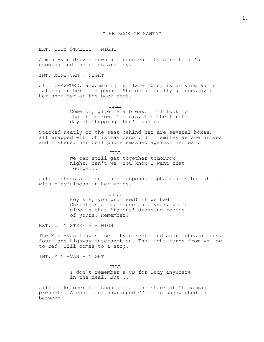EXT. CITY STREETS - NIGHT

A mini-van drives down a congested city street. It's snowing and the roads are icy.

INT. MINI-VAN - NIGHT

JILL CRAWFORD, a woman in her late 20's, is driving while talking on her cell phone. She occasionally glances over her shoulder at the back seat.

JILL

Come on, give me a break. I'll look for that tomorrow. Gee sis,it's the first day of shopping. Don't panic.

Stacked neatly on the seat behind her are several boxes, all wrapped with Christmas decor. Jill smiles as she drives and listens, her cell phone smashed against her ear.

> JILL We can still get together tomorrow night, can't we? You know I want that recipe...

Jill listens a moment then responds emphatically but still with playfulness in her voice.

> JILL Hey sis, you promised! If we had Christmas at my house this year, you'd give me that 'famous' dressing recipe of yours. Remember?

EXT. CITY STREETS – NIGHT

The Mini-Van leaves the city streets and approaches a busy, four-lane highway intersection. The light turns from yellow to red. Jill comes to a stop.

INT. MINI-VAN - NIGHT

JILL I don't remember a CD for Judy anywhere in the deal. But...

Jill looks over her shoulder at the stack of Christmas presents. A couple of unwrapped CD's are sandwiched in between.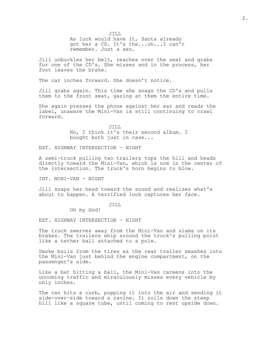JILL As luck would have it, Santa already got her a CD. It's the...uh...I can't remember. Just a sec.

Jill unbuckles her belt, reaches over the seat and grabs for one of the CD's. She misses and in the process, her foot leaves the brake.

The car inches forward. She doesn't notice.

Jill grabs again. This time she snags the CD's and pulls them to the front seat, gazing at them the entire time.

She again presses the phone against her ear and reads the label, unaware the Mini-Van is still continuing to crawl forward.

> JILL No, I think it's their second album. I bought both just in case...

EXT. HIGHWAY INTERSECTION – NIGHT

A semi-truck pulling two trailers tops the hill and heads directly toward the Mini-Van, which is now in the center of the intersection. The truck's horn begins to blow.

INT. MINI-VAN - NIGHT

Jill snaps her head toward the sound and realizes what's about to happen. A terrified look captures her face.

#### JILL

Oh my God!

EXT. HIGHWAY INTERSECTION – NIGHT

The truck swerves away from the Mini-Van and slams on its brakes. The trailers whip around the truck's pulling point like a tether ball attached to a pole.

Smoke boils from the tires as the rear trailer smashes into the Mini-Van just behind the engine compartment, on the passenger's side.

Like a bat hitting a ball, the Mini-Van careens into the oncoming traffic and miraculously misses every vehicle by only inches.

The van hits a curb, popping it into the air and sending it side-over-side toward a ravine. It rolls down the steep hill like a square tube, until coming to rest upside down.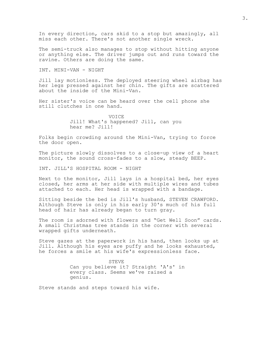In every direction, cars skid to a stop but amazingly, all miss each other. There's not another single wreck.

The semi-truck also manages to stop without hitting anyone or anything else. The driver jumps out and runs toward the ravine. Others are doing the same.

INT. MINI-VAN - NIGHT

Jill lay motionless. The deployed steering wheel airbag has her legs pressed against her chin. The gifts are scattered about the inside of the Mini-Van.

Her sister's voice can be heard over the cell phone she still clutches in one hand.

> VOICE Jill! What's happened? Jill, can you hear me? Jill!

Folks begin crowding around the Mini-Van, trying to force the door open.

The picture slowly dissolves to a close-up view of a heart monitor, the sound cross-fades to a slow, steady BEEP.

INT. JILL'S HOSPITAL ROOM - NIGHT

Next to the monitor, Jill lays in a hospital bed, her eyes closed, her arms at her side with multiple wires and tubes attached to each. Her head is wrapped with a bandage.

Sitting beside the bed is Jill's husband, STEVEN CRAWFORD. Although Steve is only in his early 30's much of his full head of hair has already began to turn gray.

The room is adorned with flowers and "Get Well Soon" cards. A small Christmas tree stands in the corner with several wrapped gifts underneath.

Steve gazes at the paperwork in his hand, then looks up at Jill. Although his eyes are puffy and he looks exhausted, he forces a smile at his wife's expressionless face.

> STEVE Can you believe it? Straight 'A's' in every class. Seems we've raised a genius.

Steve stands and steps toward his wife.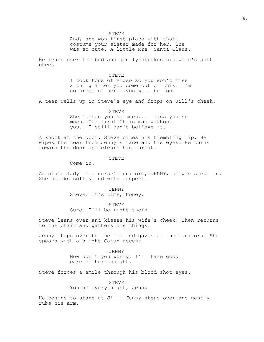STEVE

And, she won first place with that costume your sister made for her. She was so cute. A little Mrs. Santa Claus.

He leans over the bed and gently strokes his wife's soft cheek.

> STEVE I took tons of video so you won't miss a thing after you come out of this. I'm so proud of her...you will be too.

A tear wells up in Steve's eye and drops on Jill's cheek.

STEVE She misses you so much...I miss you so much. Our first Christmas without you...I still can't believe it.

A knock at the door. Steve bites his trembling lip. He wipes the tear from Jenny's face and his eyes. He turns toward the door and clears his throat.

STEVE

Come in.

An older lady in a nurse's uniform, JENNY, slowly steps in. She speaks softly and with respect.

> JENNY Steve? It's time, honey.

STEVE Sure. I'll be right there.

Steve leans over and kisses his wife's cheek. Then returns to the chair and gathers his things.

Jenny steps over to the bed and gazes at the monitors. She speaks with a slight Cajun accent.

> JENNY Now don't you worry, I'll take good care of her tonight.

Steve forces a smile through his blood shot eyes.

STEVE You do every night, Jenny.

He begins to stare at Jill. Jenny steps over and gently rubs his arm.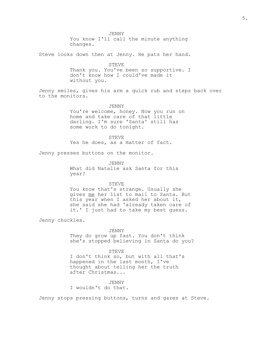JENNY

You know I'll call the minute anything changes.

Steve looks down then at Jenny. He pats her hand.

STEVE Thank you. You've been so supportive. I don't know how I could've made it without you.

Jenny smiles, gives his arm a quick rub and steps back over to the monitors.

JENNY

You're welcome, honey. Now you run on home and take care of that little darling. I'm sure 'Santa' still has some work to do tonight.

STEVE

Yes he does, as a matter of fact.

Jenny presses buttons on the monitor.

JENNY

What did Natalie ask Santa for this year?

## STEVE

You know that's strange. Usually she gives me her list to mail to Santa. But this year when I asked her about it, she said she had 'already taken care of it.' I just had to take my best guess.

Jenny chuckles.

#### JENNY

They do grow up fast. You don't think she's stopped believing in Santa do you?

STEVE

I don't think so, but with all that's happened in the last month, I've thought about telling her the truth after Christmas...

## JENNY

I wouldn't do that.

Jenny stops pressing buttons, turns and gazes at Steve.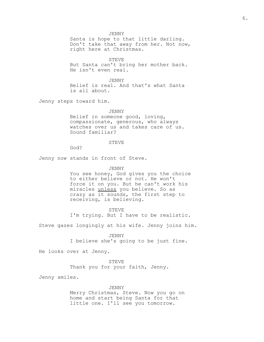JENNY

Santa is hope to that little darling. Don't take that away from her. Not now, right here at Christmas.

STEVE But Santa can't bring her mother back. He isn't even real.

JENNY Belief is real. And that's what Santa is all about.

Jenny steps toward him.

JENNY Belief in someone good, loving, compassionate, generous, who always watches over us and takes care of us. Sound familiar?

## STEVE

God?

Jenny now stands in front of Steve.

#### JENNY

You see honey, God gives you the choice to either believe or not. He won't force it on you. But he can't work his miracles unless you believe. So as crazy as it sounds, the first step to receiving, is believing.

STEVE I'm trying. But I have to be realistic.

Steve gazes longingly at his wife. Jenny joins him.

JENNY I believe she's going to be just fine.

He looks over at Jenny.

STEVE

Thank you for your faith, Jenny.

Jenny smiles.

#### JENNY

Merry Christmas, Steve. Now you go on home and start being Santa for that little one. I'll see you tomorrow.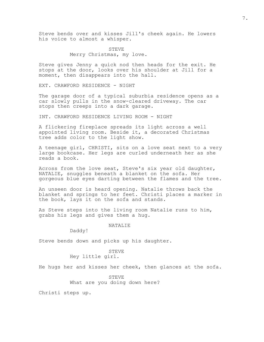Steve bends over and kisses Jill's cheek again. He lowers his voice to almost a whisper.

> STEVE Merry Christmas, my love.

Steve gives Jenny a quick nod then heads for the exit. He stops at the door, looks over his shoulder at Jill for a moment, then disappears into the hall.

EXT. CRAWFORD RESIDENCE - NIGHT

The garage door of a typical suburbia residence opens as a car slowly pulls in the snow-cleared driveway. The car stops then creeps into a dark garage.

INT. CRAWFORD RESIDENCE LIVING ROOM - NIGHT

A flickering fireplace spreads its light across a well appointed living room. Beside it, a decorated Christmas tree adds color to the light show.

A teenage girl, CHRISTI, sits on a love seat next to a very large bookcase. Her legs are curled underneath her as she reads a book.

Across from the love seat, Steve's six year old daughter, NATALIE, snuggles beneath a blanket on the sofa. Her gorgeous blue eyes darting between the flames and the tree.

An unseen door is heard opening. Natalie throws back the blanket and springs to her feet. Christi places a marker in the book, lays it on the sofa and stands.

As Steve steps into the living room Natalie runs to him, grabs his legs and gives them a hug.

NATALIE

Daddy!

Steve bends down and picks up his daughter.

## STEVE

Hey little girl.

He hugs her and kisses her cheek, then glances at the sofa.

STEVE What are you doing down here?

Christi steps up.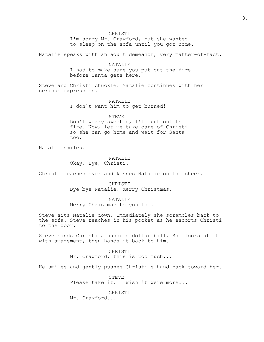CHRISTI

I'm sorry Mr. Crawford, but she wanted to sleep on the sofa until you got home.

Natalie speaks with an adult demeanor, very matter-of-fact.

NATALIE I had to make sure you put out the fire before Santa gets here.

Steve and Christi chuckle. Natalie continues with her serious expression.

> NATALIE I don't want him to get burned!

## STEVE

Don't worry sweetie, I'll put out the fire. Now, let me take care of Christi so she can go home and wait for Santa too.

Natalie smiles.

## NATALIE Okay. Bye, Christi.

Christi reaches over and kisses Natalie on the cheek.

CHRISTI Bye bye Natalie. Merry Christmas.

## NATALIE

Merry Christmas to you too.

Steve sits Natalie down. Immediately she scrambles back to the sofa. Steve reaches in his pocket as he escorts Christi to the door.

Steve hands Christi a hundred dollar bill. She looks at it with amazement, then hands it back to him.

> CHRISTI Mr. Crawford, this is too much...

He smiles and gently pushes Christi's hand back toward her.

STEVE Please take it. I wish it were more...

CHRISTI

Mr. Crawford...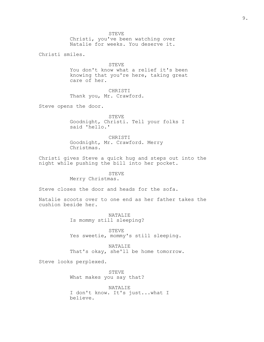Christi, you've been watching over Natalie for weeks. You deserve it.

Christi smiles.

STEVE You don't know what a relief it's been knowing that you're here, taking great care of her.

CHRISTI Thank you, Mr. Crawford.

Steve opens the door.

STEVE Goodnight, Christi. Tell your folks I said 'hello.'

CHRISTI Goodnight, Mr. Crawford. Merry Christmas.

Christi gives Steve a quick hug and steps out into the night while pushing the bill into her pocket.

## STEVE

Merry Christmas.

Steve closes the door and heads for the sofa.

Natalie scoots over to one end as her father takes the cushion beside her.

> NATALIE Is mommy still sleeping?

STEVE Yes sweetie, mommy's still sleeping.

NATALIE That's okay, she'll be home tomorrow.

Steve looks perplexed.

STEVE What makes you say that?

NATALIE I don't know. It's just...what I believe.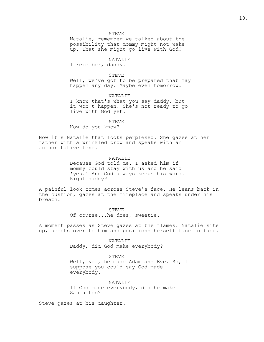#### STEVE

Natalie, remember we talked about the possibility that mommy might not wake up. That she might go live with God?

NATALIE

I remember, daddy.

#### STEVE

Well, we've got to be prepared that may happen any day. Maybe even tomorrow.

NATALIE I know that's what you say daddy, but it won't happen. She's not ready to go live with God yet.

STEVE How do you know?

Now it's Natalie that looks perplexed. She gazes at her father with a wrinkled brow and speaks with an authoritative tone.

#### NATALIE

Because God told me. I asked him if mommy could stay with us and he said 'yes.' And God always keeps his word. Right daddy?

A painful look comes across Steve's face. He leans back in the cushion, gazes at the fireplace and speaks under his breath.

STEVE

Of course...he does, sweetie.

A moment passes as Steve gazes at the flames. Natalie sits up, scoots over to him and positions herself face to face.

NATALIE

Daddy, did God make everybody?

#### STEVE

Well, yea, he made Adam and Eve. So, I suppose you could say God made everybody.

#### NATALIE

If God made everybody, did he make Santa too?

Steve gazes at his daughter.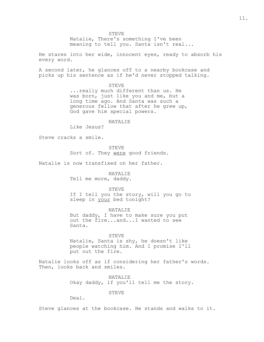STEVE

Natalie, There's something I've been meaning to tell you. Santa isn't real...

He stares into her wide, innocent eyes, ready to absorb his every word.

A second later, he glances off to a nearby bookcase and picks up his sentence as if he'd never stopped talking.

> STEVE ...really much different than us. He was born, just like you and me, but a long time ago. And Santa was such a generous fellow that after he grew up, God gave him special powers.

> > NATALIE

Like Jesus?

Steve cracks a smile.

STEVE

Sort of. They were good friends.

Natalie is now transfixed on her father.

NATALIE Tell me more, daddy.

STEVE

If I tell you the story, will you go to sleep in your bed tonight?

NATALIE But daddy, I have to make sure you put out the fire...and...I wanted to see Santa.

STEVE Natalie, Santa is shy, he doesn't like people watching him. And I promise I'll put out the fire.

Natalie looks off as if considering her father's words. Then, looks back and smiles.

> NATALIE Okay daddy, if you'll tell me the story.

> > STEVE

Deal.

Steve glances at the bookcase. He stands and walks to it.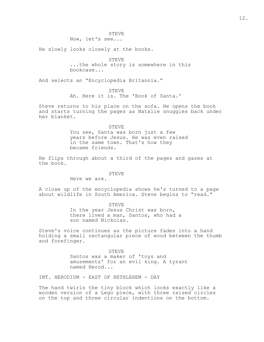Now, let's see...

He slowly looks closely at the books.

STEVE ...the whole story is somewhere in this bookcase...

And selects an "Encyclopedia Britannia."

STEVE

Ah. Here it is. The 'Book of Santa.'

Steve returns to his place on the sofa. He opens the book and starts turning the pages as Natalie snuggles back under her blanket.

STEVE

You see, Santa was born just a few years before Jesus. He was even raised in the same town. That's how they became friends.

He flips through about a third of the pages and gazes at the book.

## STEVE

Here we are.

A close up of the encyclopedia shows he's turned to a page about wildlife in South America. Steve begins to "read."

> STEVE In the year Jesus Christ was born, there lived a man, Santos, who had a son named Nickolas.

Steve's voice continues as the picture fades into a hand holding a small rectangular piece of wood between the thumb and forefinger.

> STEVE Santos was a maker of 'toys and amusements' for an evil king. A tyrant named Herod...

INT. HERODIUM - EAST OF BETHLEHEM - DAY

The hand twirls the tiny block which looks exactly like a wooden version of a Lego piece, with three raised circles on the top and three circular indentions on the bottom.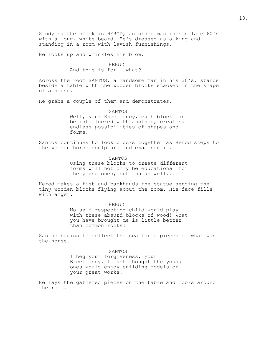Studying the block is HEROD, an older man in his late 60's with a long, white beard. He's dressed as a king and standing in a room with lavish furnishings.

He looks up and wrinkles his brow.

## HEROD And this is for...what?

Across the room SANTOS, a handsome man in his 30's, stands beside a table with the wooden blocks stacked in the shape of a horse.

He grabs a couple of them and demonstrates.

SANTOS Well, your Excellency, each block can be interlocked with another, creating endless possibilities of shapes and forms.

Santos continues to lock blocks together as Herod steps to the wooden horse sculpture and examines it.

> SANTOS Using these blocks to create different forms will not only be educational for the young ones, but fun as well...

Herod makes a fist and backhands the statue sending the tiny wooden blocks flying about the room. His face fills with anger.

HEROD

No self respecting child would play with these absurd blocks of wood! What you have brought me is little better than common rocks!

Santos begins to collect the scattered pieces of what was the horse.

> SANTOS I beg your forgiveness, your Excellency. I just thought the young ones would enjoy building models of your great works.

He lays the gathered pieces on the table and looks around the room.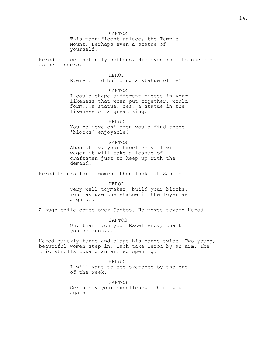SANTOS This magnificent palace, the Temple Mount. Perhaps even a statue of yourself.

Herod's face instantly softens. His eyes roll to one side as he ponders.

## HEROD

Every child building a statue of me?

SANTOS

I could shape different pieces in your likeness that when put together, would form...a statue. Yes, a statue in the likeness of a great king.

HEROD You believe children would find these 'blocks' enjoyable?

SANTOS

Absolutely, your Excellency! I will wager it will take a league of craftsmen just to keep up with the demand.

Herod thinks for a moment then looks at Santos.

HEROD

Very well toymaker, build your blocks. You may use the statue in the foyer as a guide.

A huge smile comes over Santos. He moves toward Herod.

SANTOS Oh, thank you your Excellency, thank you so much...

Herod quickly turns and claps his hands twice. Two young, beautiful women step in. Each take Herod by an arm. The trio strolls toward an arched opening.

> HEROD I will want to see sketches by the end of the week.

SANTOS Certainly your Excellency. Thank you again!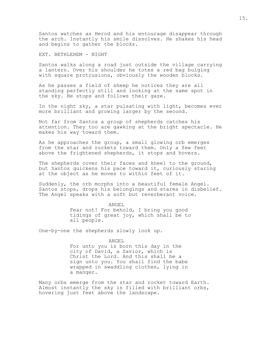Santos watches as Herod and his entourage disappear through the arch. Instantly his smile dissolves. He shakes his head and begins to gather the blocks.

EXT. BETHLEHEM - NIGHT

Santos walks along a road just outside the village carrying a lantern. Over his shoulder he totes a red bag bulging with square protrusions, obviously the wooden blocks.

As he passes a field of sheep he notices they are all standing perfectly still and looking at the same spot in the sky. He stops and follows their gaze.

In the night sky, a star pulsating with light, becomes ever more brilliant and growing larger by the second.

Not far from Santos a group of shepherds catches his attention. They too are gawking at the bright spectacle. He makes his way toward them.

As he approaches the group, a small glowing orb emerges from the star and rockets toward them. Only a few feet above the frightened shepherds, it stops and hovers.

The shepherds cover their faces and kneel to the ground, but Santos quickens his pace toward it, curiously staring at the object as he moves to within feet of it.

Suddenly, the orb morphs into a beautiful female Angel. Santos stops, drops his belongings and stares in disbelief. The Angel speaks with a soft but reverberant voice.

## ANGEL

Fear not! For behold, I bring you good tidings of great joy, which shall be to all people.

One-by-one the shepherds slowly look up.

#### ANGEL

For unto you is born this day in the city of David, a Savior, which is Christ the Lord. And this shall be a sign unto you. You shall find the babe wrapped in swaddling clothes, lying in a manger.

Many orbs emerge from the star and rocket toward Earth. Almost instantly the sky is filled with brilliant orbs, hovering just feet above the landscape.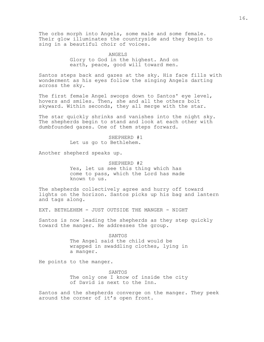The orbs morph into Angels, some male and some female. Their glow illuminates the countryside and they begin to sing in a beautiful choir of voices.

> ANGELS Glory to God in the highest. And on earth, peace, good will toward men.

Santos steps back and gazes at the sky. His face fills with wonderment as his eyes follow the singing Angels darting across the sky.

The first female Angel swoops down to Santos' eye level, hovers and smiles. Then, she and all the others bolt skyward. Within seconds, they all merge with the star.

The star quickly shrinks and vanishes into the night sky. The shepherds begin to stand and look at each other with dumbfounded gazes. One of them steps forward.

## SHEPHERD #1

Let us go to Bethlehem.

Another shepherd speaks up.

SHEPHERD #2 Yes, let us see this thing which has come to pass, which the Lord has made known to us.

The shepherds collectively agree and hurry off toward lights on the horizon. Santos picks up his bag and lantern and tags along.

EXT. BETHLEHEM - JUST OUTSIDE THE MANGER - NIGHT

Santos is now leading the shepherds as they step quickly toward the manger. He addresses the group.

> SANTOS The Angel said the child would be wrapped in swaddling clothes, lying in a manger.

He points to the manger.

SANTOS The only one I know of inside the city of David is next to the Inn.

Santos and the shepherds converge on the manger. They peek around the corner of it's open front.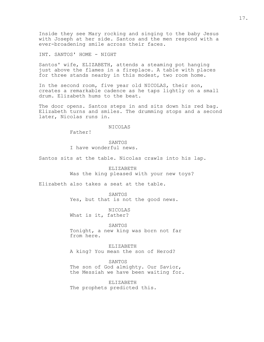Inside they see Mary rocking and singing to the baby Jesus with Joseph at her side. Santos and the men respond with a ever-broadening smile across their faces.

INT. SANTOS' HOME - NIGHT

Santos' wife, ELIZABETH, attends a steaming pot hanging just above the flames in a fireplace. A table with places for three stands nearby in this modest, two room home.

In the second room, five year old NICOLAS, their son, creates a remarkable cadence as he taps lightly on a small drum. Elizabeth hums to the beat.

The door opens. Santos steps in and sits down his red bag. Elizabeth turns and smiles. The drumming stops and a second later, Nicolas runs in.

## NICOLAS

Father!

SANTOS I have wonderful news.

Santos sits at the table. Nicolas crawls into his lap.

ELIZABETH Was the king pleased with your new toys?

Elizabeth also takes a seat at the table.

SANTOS Yes, but that is not the good news.

NICOLAS What is it, father?

SANTOS Tonight, a new king was born not far from here.

ELIZABETH A king? You mean the son of Herod?

SANTOS

The son of God almighty. Our Savior, the Messiah we have been waiting for.

ELIZABETH The prophets predicted this.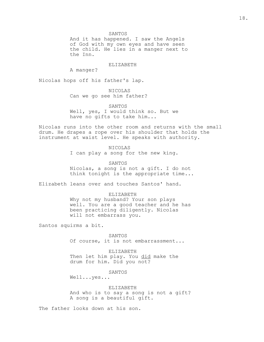SANTOS

And it has happened. I saw the Angels of God with my own eyes and have seen the child. He lies in a manger next to the Inn.

ELIZABETH

A manger?

Nicolas hops off his father's lap.

NICOLAS Can we go see him father?

SANTOS Well, yes, I would think so. But we have no gifts to take him...

Nicolas runs into the other room and returns with the small drum. He drapes a rope over his shoulder that holds the instrument at waist level. He speaks with authority.

NICOLAS

I can play a song for the new king.

SANTOS Nicolas, a song is not a gift. I do not think tonight is the appropriate time...

Elizabeth leans over and touches Santos' hand.

#### ELIZABETH

Why not my husband? Your son plays well. You are a good teacher and he has been practicing diligently. Nicolas will not embarrass you.

Santos squirms a bit.

SANTOS Of course, it is not embarrassment...

ELIZABETH Then let him play. You did make the drum for him. Did you not?

SANTOS

Well...yes...

ELIZABETH And who is to say a song is not a gift? A song is a beautiful gift.

The father looks down at his son.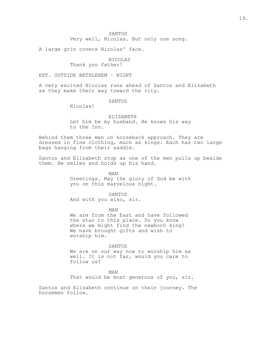SANTOS

Very well, Nicolas. But only one song.

A large grin covers Nicolas' face.

## NICOLAS Thank you father!

EXT. OUTSIDE BETHLEHEM – NIGHT

A very excited Nicolas runs ahead of Santos and Elizabeth as they make their way toward the city.

SANTOS

Nicolas!

ELIZABETH Let him be my husband. He knows his way to the Inn.

Behind them three men on horseback approach. They are dressed in fine clothing, much as kings. Each has two large bags hanging from their saddle.

Santos and Elizabeth stop as one of the men pulls up beside them. He smiles and holds up his hand.

> MAN Greetings. May the glory of God be with you on this marvelous night.

> > SANTOS

And with you also, sir.

MAN

We are from the East and have followed the star to this place. Do you know where we might find the newborn king? We have brought gifts and wish to worship him.

SANTOS

We are on our way now to worship him as well. It is not far, would you care to follow us?

MAN

That would be most generous of you, sir.

Santos and Elizabeth continue on their journey. The horsemen follow.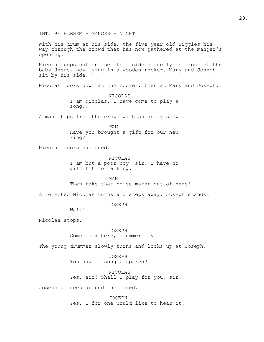INT. BETHLEHEM - MANGER – NIGHT With his drum at his side, the five year old wiggles his way through the crowd that has now gathered at the manger's opening. Nicolas pops out on the other side directly in front of the baby Jesus, now lying in a wooden rocker. Mary and Joseph sit by his side. Nicolas looks down at the rocker, then at Mary and Joseph. NICOLAS I am Nicolas. I have come to play a song... A man steps from the crowd with an angry scowl. MAN Have you brought a gift for our new king? Nicolas looks saddened. NICOLAS I am but a poor boy, sir. I have no gift fit for a king. MAN Then take that noise maker out of here! A rejected Nicolas turns and steps away. Joseph stands. JOSEPH Wait! Nicolas stops. JOSEPH Come back here, drummer boy. The young drummer slowly turns and looks up at Joseph. JOSEPH You have a song prepared? NICOLAS Yes, sir! Shall I play for you, sir? Joseph glances around the crowd. JOSEPH Yes. I for one would like to hear it.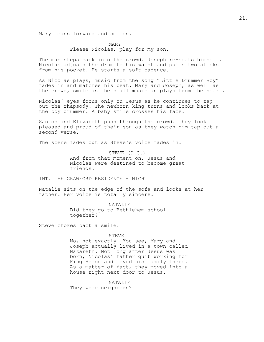Mary leans forward and smiles.

MARY Please Nicolas, play for my son.

The man steps back into the crowd. Joseph re-seats himself. Nicolas adjusts the drum to his waist and pulls two sticks from his pocket. He starts a soft cadence.

As Nicolas plays, music from the song "Little Drummer Boy" fades in and matches his beat. Mary and Joseph, as well as the crowd, smile as the small musician plays from the heart.

Nicolas' eyes focus only on Jesus as he continues to tap out the rhapsody. The newborn king turns and looks back at the boy drummer. A baby smile crosses his face.

Santos and Elizabeth push through the crowd. They look pleased and proud of their son as they watch him tap out a second verse.

The scene fades out as Steve's voice fades in.

STEVE (O.C.) And from that moment on, Jesus and Nicolas were destined to become great friends.

INT. THE CRAWFORD RESIDENCE - NIGHT

Natalie sits on the edge of the sofa and looks at her father. Her voice is totally sincere.

> NATALIE Did they go to Bethlehem school together?

Steve chokes back a smile.

STEVE

No, not exactly. You see, Mary and Joseph actually lived in a town called Nazareth. Not long after Jesus was born, Nicolas' father quit working for King Herod and moved his family there. As a matter of fact, they moved into a house right next door to Jesus.

NATALIE

They were neighbors?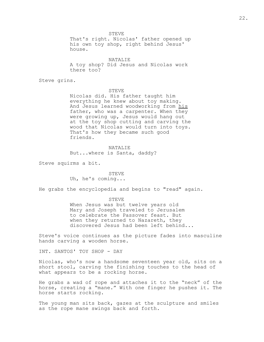STEVE

That's right. Nicolas' father opened up his own toy shop, right behind Jesus' house.

NATALIE A toy shop? Did Jesus and Nicolas work there too?

Steve grins.

#### STEVE

Nicolas did. His father taught him everything he knew about toy making. And Jesus learned woodworking from his father, who was a carpenter. When they were growing up, Jesus would hang out at the toy shop cutting and carving the wood that Nicolas would turn into toys. That's how they became such good friends.

#### NATALIE

But...where is Santa, daddy?

Steve squirms a bit.

## STEVE

Uh, he's coming...

He grabs the encyclopedia and begins to "read" again.

#### STEVE

When Jesus was but twelve years old Mary and Joseph traveled to Jerusalem to celebrate the Passover feast. But when they returned to Nazareth, they discovered Jesus had been left behind...

Steve's voice continues as the picture fades into masculine hands carving a wooden horse.

INT. SANTOS' TOY SHOP - DAY

Nicolas, who's now a handsome seventeen year old, sits on a short stool, carving the finishing touches to the head of what appears to be a rocking horse.

He grabs a wad of rope and attaches it to the "neck" of the horse, creating a "mane." With one finger he pushes it. The horse starts rocking.

The young man sits back, gazes at the sculpture and smiles as the rope mane swings back and forth.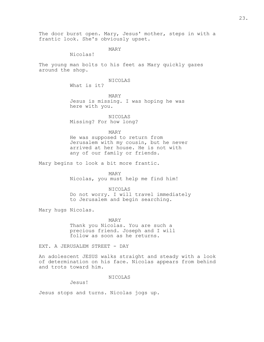The door burst open. Mary, Jesus' mother, steps in with a frantic look. She's obviously upset.

MARY

Nicolas!

The young man bolts to his feet as Mary quickly gazes around the shop.

## NICOLAS

What is it?

MARY Jesus is missing. I was hoping he was here with you.

NICOLAS Missing? For how long?

MARY

He was supposed to return from Jerusalem with my cousin, but he never arrived at her house. He is not with any of our family or friends.

Mary begins to look a bit more frantic.

MARY

Nicolas, you must help me find him!

NICOLAS

Do not worry. I will travel immediately to Jerusalem and begin searching.

Mary hugs Nicolas.

MARY Thank you Nicolas. You are such a precious friend. Joseph and I will follow as soon as he returns.

EXT. A JERUSALEM STREET - DAY

An adolescent JESUS walks straight and steady with a look of determination on his face. Nicolas appears from behind and trots toward him.

NICOLAS

Jesus!

Jesus stops and turns. Nicolas jogs up.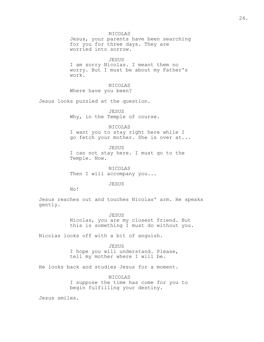NICOLAS Jesus, your parents have been searching for you for three days. They are worried into sorrow.

JESUS I am sorry Nicolas. I meant them no worry. But I must be about my Father's work.

NICOLAS Where have you been?

Jesus looks puzzled at the question.

JESUS Why, in the Temple of course.

NICOLAS I want you to stay right here while I go fetch your mother. She is over at...

JESUS I can not stay here. I must go to the Temple. Now.

NICOLAS Then I will accompany you...

JESUS

No!

Jesus reaches out and touches Nicolas' arm. He speaks gently.

> JESUS Nicolas, you are my closest friend. But this is something I must do without you.

Nicolas looks off with a bit of anguish.

JESUS I hope you will understand. Please, tell my mother where I will be.

He looks back and studies Jesus for a moment.

NICOLAS I suppose the time has come for you to begin fulfilling your destiny.

Jesus smiles.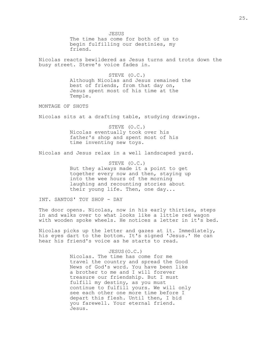JESUS

The time has come for both of us to begin fulfilling our destinies, my friend.

Nicolas reacts bewildered as Jesus turns and trots down the busy street. Steve's voice fades in.

> STEVE (O.C.) Although Nicolas and Jesus remained the best of friends, from that day on, Jesus spent most of his time at the Temple.

MONTAGE OF SHOTS

Nicolas sits at a drafting table, studying drawings.

STEVE (O.C.) Nicolas eventually took over his father's shop and spent most of his time inventing new toys.

Nicolas and Jesus relax in a well landscaped yard.

STEVE (O.C.) But they always made it a point to get together every now and then, staying up into the wee hours of the morning laughing and recounting stories about their young life. Then, one day...

INT. SANTOS' TOY SHOP - DAY

The door opens. Nicolas, now in his early thirties, steps in and walks over to what looks like a little red wagon with wooden spoke wheels. He notices a letter in it's bed.

Nicolas picks up the letter and gazes at it. Immediately, his eyes dart to the bottom. It's signed 'Jesus.' He can hear his friend's voice as he starts to read.

> JESUS(O.C.) Nicolas. The time has come for me travel the country and spread the Good News of God's word. You have been like a brother to me and I will forever treasure our friendship. But I must fulfill my destiny, as you must continue to fulfill yours. We will only see each other one more time before I depart this flesh. Until then, I bid you farewell. Your eternal friend. Jesus.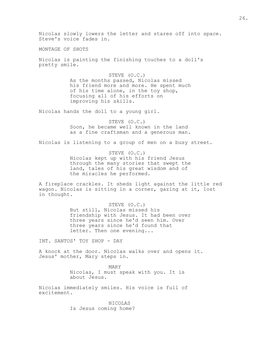Nicolas slowly lowers the letter and stares off into space. Steve's voice fades in.

MONTAGE OF SHOTS

Nicolas is painting the finishing touches to a doll's pretty smile.

> STEVE (O.C.) As the months passed, Nicolas missed his friend more and more. He spent much of his time alone, in the toy shop, focusing all of his efforts on improving his skills.

Nicolas hands the doll to a young girl.

STEVE (O.C.) Soon, he became well known in the land as a fine craftsman and a generous man.

Nicolas is listening to a group of men on a busy street.

STEVE (O.C.) Nicolas kept up with his friend Jesus through the many stories that swept the land, tales of his great wisdom and of the miracles he performed.

A fireplace crackles. It sheds light against the little red wagon. Nicolas is sitting in a corner, gazing at it, lost in thought.

> STEVE (O.C.) But still, Nicolas missed his friendship with Jesus. It had been over three years since he'd seen him. Over three years since he'd found that letter. Then one evening...

INT. SANTOS' TOY SHOP - DAY

A knock at the door. Nicolas walks over and opens it. Jesus' mother, Mary steps in.

> MARY Nicolas, I must speak with you. It is about Jesus.

Nicolas immediately smiles. His voice is full of excitement.

> NICOLAS Is Jesus coming home?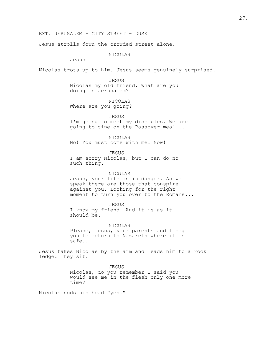Jesus strolls down the crowded street alone.

NICOLAS

Jesus!

Nicolas trots up to him. Jesus seems genuinely surprised.

JESUS Nicolas my old friend. What are you doing in Jerusalem?

NICOLAS Where are you going?

JESUS I'm going to meet my disciples. We are going to dine on the Passover meal...

NICOLAS No! You must come with me. Now!

JESUS I am sorry Nicolas, but I can do no such thing.

## NICOLAS

Jesus, your life is in danger. As we speak there are those that conspire against you. Looking for the right moment to turn you over to the Romans...

JESUS

I know my friend. And it is as it should be.

NICOLAS

Please, Jesus, your parents and I beg you to return to Nazareth where it is safe...

Jesus takes Nicolas by the arm and leads him to a rock ledge. They sit.

> JESUS Nicolas, do you remember I said you would see me in the flesh only one more time?

Nicolas nods his head "yes."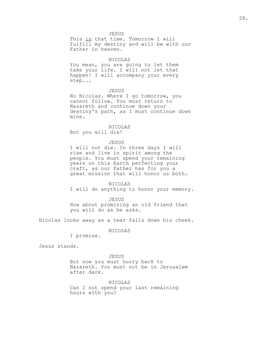JESUS

This is that time. Tomorrow I will fulfill my destiny and will be with our Father in heaven.

## NICOLAS

You mean, you are going to let them take your life. I will not let that happen! I will accompany your every step...

#### JESUS

No Nicolas. Where I go tomorrow, you cannot follow. You must return to Nazareth and continue down your destiny's path, as I must continue down mine.

## NICOLAS

But you will die!

## JESUS

I will not die. In three days I will rise and live in spirit among the people. You must spend your remaining years on this Earth perfecting your craft, as our Father has for you a great mission that will honor us both.

## NICOLAS

I will do anything to honor your memory.

## JESUS How about promising an old friend that you will do as he asks.

Nicolas looks away as a tear falls down his cheek.

NICOLAS

I promise.

Jesus stands.

## JESUS

But now you must hurry back to Nazareth. You must not be in Jerusalem after dark.

## NICOLAS Can I not spend your last remaining hours with you?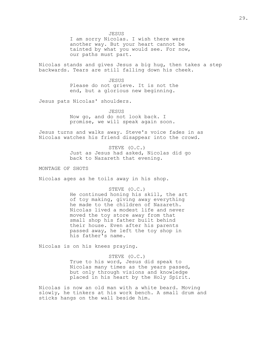JESUS

I am sorry Nicolas. I wish there were another way. But your heart cannot be tainted by what you would see. For now, our paths must part.

Nicolas stands and gives Jesus a big hug, then takes a step backwards. Tears are still falling down his cheek.

> JESUS Please do not grieve. It is not the end, but a glorious new beginning.

Jesus pats Nicolas' shoulders.

JESUS Now go, and do not look back. I promise, we will speak again soon.

Jesus turns and walks away. Steve's voice fades in as Nicolas watches his friend disappear into the crowd.

> STEVE (O.C.) Just as Jesus had asked, Nicolas did go back to Nazareth that evening.

MONTAGE OF SHOTS

Nicolas ages as he toils away in his shop.

## STEVE (O.C.)

He continued honing his skill, the art of toy making, giving away everything he made to the children of Nazareth. Nicolas lived a modest life and never moved the toy store away from that small shop his father built behind their house. Even after his parents passed away, he left the toy shop in his father's name.

Nicolas is on his knees praying.

## STEVE (O.C.)

True to his word, Jesus did speak to Nicolas many times as the years passed, but only through visions and knowledge placed in his heart by the Holy Spirit.

Nicolas is now an old man with a white beard. Moving slowly, he tinkers at his work bench. A small drum and sticks hangs on the wall beside him.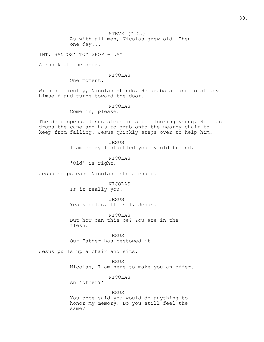STEVE (O.C.) As with all men, Nicolas grew old. Then one day...

INT. SANTOS' TOY SHOP - DAY

A knock at the door.

#### NICOLAS

One moment.

With difficulty, Nicolas stands. He grabs a cane to steady himself and turns toward the door.

NICOLAS

Come in, please.

The door opens. Jesus steps in still looking young. Nicolas drops the cane and has to grab onto the nearby chair to keep from falling. Jesus quickly steps over to help him.

> JESUS I am sorry I startled you my old friend.

NICOLAS 'Old' is right.

Jesus helps ease Nicolas into a chair.

NICOLAS Is it really you?

JESUS Yes Nicolas. It is I, Jesus.

NICOLAS But how can this be? You are in the flesh.

JESUS Our Father has bestowed it.

Jesus pulls up a chair and sits.

JESUS

Nicolas, I am here to make you an offer.

NICOLAS

An 'offer?'

JESUS You once said you would do anything to honor my memory. Do you still feel the same?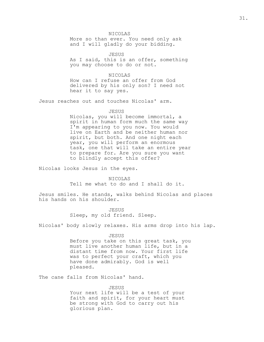NICOLAS

More so than ever. You need only ask and I will gladly do your bidding.

JESUS As I said, this is an offer, something you may choose to do or not.

NICOLAS How can I refuse an offer from God delivered by his only son? I need not hear it to say yes.

Jesus reaches out and touches Nicolas' arm.

## JESUS

Nicolas, you will become immortal, a spirit in human form much the same way I'm appearing to you now. You would live on Earth and be neither human nor spirit, but both. And one night each year, you will perform an enormous task, one that will take an entire year to prepare for. Are you sure you want to blindly accept this offer?

Nicolas looks Jesus in the eyes.

NICOLAS Tell me what to do and I shall do it.

Jesus smiles. He stands, walks behind Nicolas and places his hands on his shoulder.

> JESUS Sleep, my old friend. Sleep.

Nicolas' body slowly relaxes. His arms drop into his lap.

JESUS

Before you take on this great task, you must live another human life, but in a distant time from now. Your first life was to perfect your craft, which you have done admirably. God is well pleased.

The cane falls from Nicolas' hand.

JESUS

Your next life will be a test of your faith and spirit, for your heart must be strong with God to carry out his glorious plan.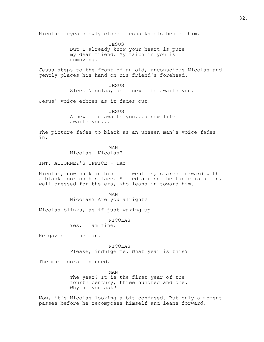Nicolas' eyes slowly close. Jesus kneels beside him.

JESUS But I already know your heart is pure my dear friend. My faith in you is unmoving.

Jesus steps to the front of an old, unconscious Nicolas and gently places his hand on his friend's forehead.

> JESUS Sleep Nicolas, as a new life awaits you.

Jesus' voice echoes as it fades out.

JESUS A new life awaits you...a new life awaits you...

The picture fades to black as an unseen man's voice fades in.

MAN

Nicolas. Nicolas?

INT. ATTORNEY'S OFFICE - DAY

Nicolas, now back in his mid twenties, stares forward with a blank look on his face. Seated across the table is a man, well dressed for the era, who leans in toward him.

> MAN Nicolas? Are you alright?

Nicolas blinks, as if just waking up.

NICOLAS

Yes, I am fine.

He gazes at the man.

NICOLAS Please, indulge me. What year is this?

The man looks confused.

MAN The year? It is the first year of the fourth century, three hundred and one. Why do you ask?

Now, it's Nicolas looking a bit confused. But only a moment passes before he recomposes himself and leans forward.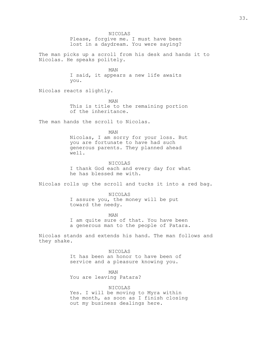NICOLAS Please, forgive me. I must have been lost in a daydream. You were saying? The man picks up a scroll from his desk and hands it to Nicolas. He speaks politely. MAN I said, it appears a new life awaits you. Nicolas reacts slightly. MAN This is title to the remaining portion of the inheritance. The man hands the scroll to Nicolas. MAN Nicolas, I am sorry for your loss. But you are fortunate to have had such generous parents. They planned ahead well. NICOLAS I thank God each and every day for what he has blessed me with. Nicolas rolls up the scroll and tucks it into a red bag. NICOLAS I assure you, the money will be put toward the needy. MAN I am quite sure of that. You have been a generous man to the people of Patara. Nicolas stands and extends his hand. The man follows and they shake. NICOLAS It has been an honor to have been of service and a pleasure knowing you. MAN You are leaving Patara? NICOLAS Yes. I will be moving to Myra within the month, as soon as I finish closing out my business dealings here.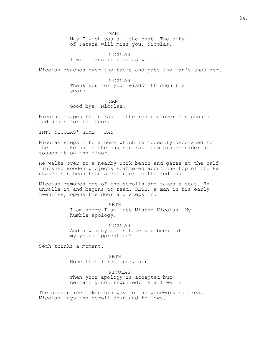MAN

May I wish you all the best. The city of Patara will miss you, Nicolas.

NICOLAS I will miss it here as well.

Nicolas reaches over the table and pats the man's shoulder.

NICOLAS Thank you for your wisdom through the years.

MAN Good bye, Nicolas.

Nicolas drapes the strap of the red bag over his shoulder and heads for the door.

INT. NICOLAS' HOME - DAY

Nicolas steps into a home which is modestly decorated for the time. He pulls the bag's strap from his shoulder and tosses it on the floor.

He walks over to a nearby work bench and gazes at the halffinished wooden projects scattered about the top of it. He shakes his head then steps back to the red bag.

Nicolas removes one of the scrolls and takes a seat. He unrolls it and begins to read. SETH, a man in his early twenties, opens the door and steps in.

> SETH I am sorry I am late Mister Nicolas. My humble apology.

NICOLAS And how many times have you been late my young apprentice?

Seth thinks a moment.

SETH None that I remember, sir.

NICOLAS Then your apology is accepted but certainly not required. Is all well?

The apprentice makes his way to the woodworking area. Nicolas lays the scroll down and follows.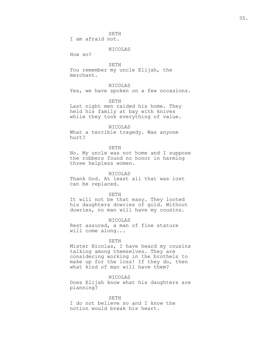SETH

I am afraid not.

## NICOLAS

How so?

SETH You remember my uncle Elijah, the merchant.

# NICOLAS

Yes, we have spoken on a few occasions.

## SETH

Last night men raided his home. They held his family at bay with knives while they took everything of value.

#### NICOLAS

What a terrible tragedy. Was anyone hurt?

## SETH

No. My uncle was not home and I suppose the robbers found no honor in harming three helpless women.

## NICOLAS

Thank God. At least all that was lost can be replaced.

### SETH

It will not be that easy. They looted his daughters dowries of gold. Without dowries, no man will have my cousins.

## NICOLAS

Rest assured, a man of fine stature will come along...

#### SETH

Mister Nicolas, I have heard my cousins talking among themselves. They are considering working in the brothels to make up for the loss! If they do, then what kind of man will have them?

## NICOLAS

Does Elijah know what his daughters are planning?

### SETH

I do not believe so and I know the notion would break his heart.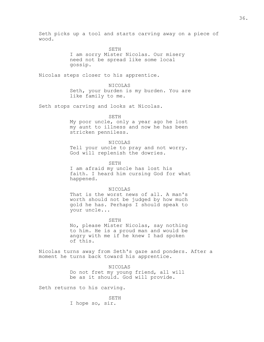Seth picks up a tool and starts carving away on a piece of wood.

SETH

I am sorry Mister Nicolas. Our misery need not be spread like some local gossip.

Nicolas steps closer to his apprentice.

NICOLAS Seth, your burden is my burden. You are like family to me.

Seth stops carving and looks at Nicolas.

SETH

My poor uncle, only a year ago he lost my aunt to illness and now he has been stricken penniless.

#### NICOLAS

Tell your uncle to pray and not worry. God will replenish the dowries.

SETH

I am afraid my uncle has lost his faith. I heard him cursing God for what happened.

#### NICOLAS

That is the worst news of all. A man's worth should not be judged by how much gold he has. Perhaps I should speak to your uncle...

### SETH

No, please Mister Nicolas, say nothing to him. He is a proud man and would be angry with me if he knew I had spoken of this.

Nicolas turns away from Seth's gaze and ponders. After a moment he turns back toward his apprentice.

> NICOLAS Do not fret my young friend, all will be as it should. God will provide.

Seth returns to his carving.

SETH I hope so, sir.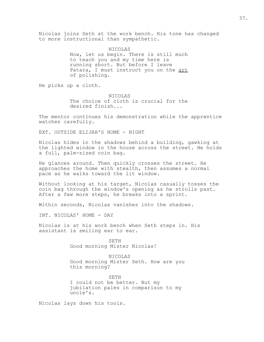Nicolas joins Seth at the work bench. His tone has changed to more instructional than sympathetic.

> NICOLAS Now, let us begin. There is still much to teach you and my time here is running short. But before I leave Patara, I must instruct you on the art of polishing.

He picks up a cloth.

NICOLAS The choice of cloth is crucial for the desired finish...

The mentor continues his demonstration while the apprentice watches carefully.

EXT. OUTSIDE ELIJAH'S HOME - NIGHT

Nicolas hides in the shadows behind a building, gawking at the lighted window in the house across the street. He holds a full, palm-sized coin bag.

He glances around. Then quickly crosses the street. He approaches the home with stealth, then assumes a normal pace as he walks toward the lit window.

Without looking at his target, Nicolas casually tosses the coin bag through the window's opening as he strolls past. After a few more steps, he breaks into a sprint.

Within seconds, Nicolas vanishes into the shadows.

INT. NICOLAS' HOME - DAY

Nicolas is at his work bench when Seth steps in. His assistant is smiling ear to ear.

> SETH Good morning Mister Nicolas!

NICOLAS Good morning Mister Seth. How are you this morning?

SETH I could not be better. But my jubilation pales in comparison to my uncle's.

Nicolas lays down his tools.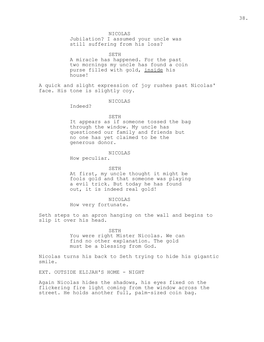NICOLAS

Jubilation? I assumed your uncle was still suffering from his loss?

SETH A miracle has happened. For the past two mornings my uncle has found a coin purse filled with gold, inside his house!

A quick and slight expression of joy rushes past Nicolas' face. His tone is slightly coy.

NICOLAS

Indeed?

## SETH

It appears as if someone tossed the bag through the window. My uncle has questioned our family and friends but no one has yet claimed to be the generous donor.

### NICOLAS

How peculiar.

### SETH

At first, my uncle thought it might be fools gold and that someone was playing a evil trick. But today he has found out, it is indeed real gold!

#### NICOLAS

How very fortunate.

Seth steps to an apron hanging on the wall and begins to slip it over his head.

> SETH You were right Mister Nicolas. We can find no other explanation. The gold must be a blessing from God.

Nicolas turns his back to Seth trying to hide his gigantic smile.

EXT. OUTSIDE ELIJAH'S HOME - NIGHT

Again Nicolas hides the shadows, his eyes fixed on the flickering fire light coming from the window across the street. He holds another full, palm-sized coin bag.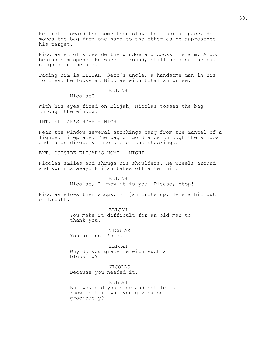He trots toward the home then slows to a normal pace. He moves the bag from one hand to the other as he approaches his target.

Nicolas strolls beside the window and cocks his arm. A door behind him opens. He wheels around, still holding the bag of gold in the air.

Facing him is ELIJAH, Seth's uncle, a handsome man in his forties. He looks at Nicolas with total surprise.

## ELIJAH

Nicolas?

With his eyes fixed on Elijah, Nicolas tosses the bag through the window.

INT. ELIJAH'S HOME - NIGHT

Near the window several stockings hang from the mantel of a lighted fireplace. The bag of gold arcs through the window and lands directly into one of the stockings.

EXT. OUTSIDE ELIJAH'S HOME - NIGHT

Nicolas smiles and shrugs his shoulders. He wheels around and sprints away. Elijah takes off after him.

> ELIJAH Nicolas, I know it is you. Please, stop!

Nicolas slows then stops. Elijah trots up. He's a bit out of breath.

> ELIJAH You make it difficult for an old man to thank you.

NICOLAS You are not 'old.'

ELIJAH Why do you grace me with such a blessing?

NICOLAS Because you needed it.

ELIJAH But why did you hide and not let us know that it was you giving so graciously?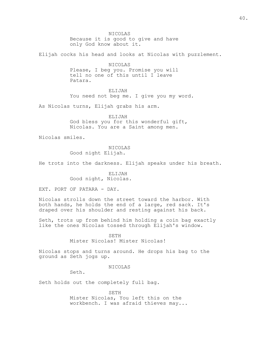NICOLAS Because it is good to give and have only God know about it.

Elijah cocks his head and looks at Nicolas with puzzlement.

NICOLAS Please, I beg you. Promise you will tell no one of this until I leave Patara.

ELIJAH

You need not beg me. I give you my word.

As Nicolas turns, Elijah grabs his arm.

ELIJAH God bless you for this wonderful gift, Nicolas. You are a Saint among men.

Nicolas smiles.

NICOLAS Good night Elijah.

He trots into the darkness. Elijah speaks under his breath.

ELIJAH Good night, Nicolas.

EXT. PORT OF PATARA - DAY.

Nicolas strolls down the street toward the harbor. With both hands, he holds the end of a large, red sack. It's draped over his shoulder and resting against his back.

Seth, trots up from behind him holding a coin bag exactly like the ones Nicolas tossed through Elijah's window.

> SETH Mister Nicolas! Mister Nicolas!

Nicolas stops and turns around. He drops his bag to the ground as Seth jogs up.

NICOLAS

Seth.

Seth holds out the completely full bag.

SETH Mister Nicolas, You left this on the workbench. I was afraid thieves may...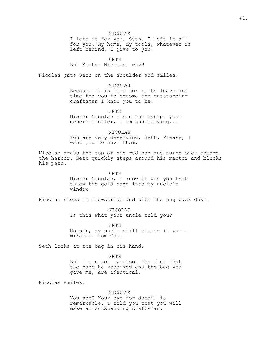#### NICOLAS

I left it for you, Seth. I left it all for you. My home, my tools, whatever is left behind, I give to you.

SETH

But Mister Nicolas, why?

Nicolas pats Seth on the shoulder and smiles.

NICOLAS

Because it is time for me to leave and time for you to become the outstanding craftsman I know you to be.

SETH Mister Nicolas I can not accept your generous offer, I am undeserving...

NICOLAS You are very deserving, Seth. Please, I want you to have them.

Nicolas grabs the top of his red bag and turns back toward the harbor. Seth quickly steps around his mentor and blocks his path.

> SETH Mister Nicolas, I know it was you that threw the gold bags into my uncle's window.

Nicolas stops in mid-stride and sits the bag back down.

NICOLAS Is this what your uncle told you?

SETH No sir, my uncle still claims it was a miracle from God.

Seth looks at the bag in his hand.

SETH But I can not overlook the fact that the bags he received and the bag you gave me, are identical.

Nicolas smiles.

NICOLAS You see? Your eye for detail is remarkable. I told you that you will make an outstanding craftsman.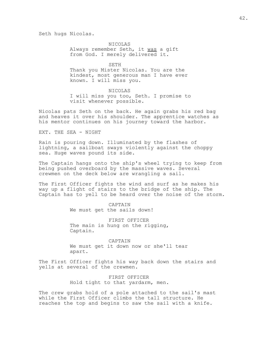Seth hugs Nicolas.

NICOLAS Always remember Seth, it was a gift from God. I merely delivered it.

SETH Thank you Mister Nicolas. You are the kindest, most generous man I have ever known. I will miss you.

NICOLAS I will miss you too, Seth. I promise to visit whenever possible.

Nicolas pats Seth on the back. He again grabs his red bag and heaves it over his shoulder. The apprentice watches as his mentor continues on his journey toward the harbor.

EXT. THE SEA - NIGHT

Rain is pouring down. Illuminated by the flashes of lightning, a sailboat sways violently against the choppy sea. Huge waves pound its side.

The Captain hangs onto the ship's wheel trying to keep from being pushed overboard by the massive waves. Several crewmen on the deck below are wrangling a sail.

The First Officer fights the wind and surf as he makes his way up a flight of stairs to the bridge of the ship. The Captain has to yell to be heard over the noise of the storm.

> CAPTAIN We must get the sails down!

FIRST OFFICER The main is hung on the rigging, Captain.

CAPTAIN We must get it down now or she'll tear apart.

The First Officer fights his way back down the stairs and yells at several of the crewmen.

> FIRST OFFICER Hold tight to that yardarm, men.

The crew grabs hold of a pole attached to the sail's mast while the First Officer climbs the tall structure. He reaches the top and begins to saw the sail with a knife.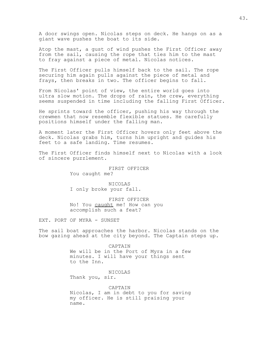A door swings open. Nicolas steps on deck. He hangs on as a giant wave pushes the boat to its side.

Atop the mast, a gust of wind pushes the First Officer away from the sail, causing the rope that ties him to the mast to fray against a piece of metal. Nicolas notices.

The First Officer pulls himself back to the sail. The rope securing him again pulls against the piece of metal and frays, then breaks in two. The officer begins to fall.

From Nicolas' point of view, the entire world goes into ultra slow motion. The drops of rain, the crew, everything seems suspended in time including the falling First Officer.

He sprints toward the officer, pushing his way through the crewmen that now resemble flexible statues. He carefully positions himself under the falling man.

A moment later the First Officer hovers only feet above the deck. Nicolas grabs him, turns him upright and guides his feet to a safe landing. Time resumes.

The First Officer finds himself next to Nicolas with a look of sincere puzzlement.

> FIRST OFFICER You caught me?

NICOLAS I only broke your fall.

FIRST OFFICER No! You caught me! How can you accomplish such a feat?

EXT. PORT OF MYRA - SUNSET

The sail boat approaches the harbor. Nicolas stands on the bow gazing ahead at the city beyond. The Captain steps up.

> CAPTAIN We will be in the Port of Myra in a few minutes. I will have your things sent to the Inn.

NICOLAS Thank you, sir.

CAPTAIN Nicolas, I am in debt to you for saving my officer. He is still praising your name.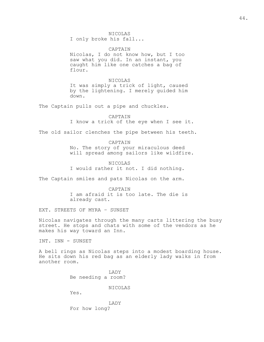I only broke his fall...

CAPTAIN Nicolas, I do not know how, but I too saw what you did. In an instant, you caught him like one catches a bag of flour.

NICOLAS It was simply a trick of light, caused by the lightening. I merely guided him down.

The Captain pulls out a pipe and chuckles.

CAPTAIN I know a trick of the eye when I see it.

The old sailor clenches the pipe between his teeth.

CAPTAIN No. The story of your miraculous deed will spread among sailors like wildfire.

NICOLAS I would rather it not. I did nothing.

The Captain smiles and pats Nicolas on the arm.

CAPTAIN I am afraid it is too late. The die is already cast.

EXT. STREETS OF MYRA – SUNSET

Nicolas navigates through the many carts littering the busy street. He stops and chats with some of the vendors as he makes his way toward an Inn.

INT. INN - SUNSET

A bell rings as Nicolas steps into a modest boarding house. He sits down his red bag as an elderly lady walks in from another room.

> LADY Be needing a room?

> > NICOLAS

Yes.

LADY For how long?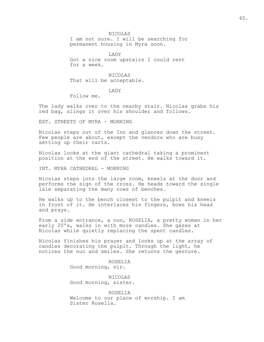NICOLAS

I am not sure. I will be searching for permanent housing in Myra soon.

LADY Got a nice room upstairs I could rent for a week.

NICOLAS That will be acceptable.

LADY

Follow me.

The lady walks over to the nearby stair. Nicolas grabs his red bag, slings it over his shoulder and follows.

EXT. STREETS OF MYRA – MORNING

Nicolas steps out of the Inn and glances down the street. Few people are about, except the vendors who are busy setting up their carts.

Nicolas looks at the giant cathedral taking a prominent position at the end of the street. He walks toward it.

INT. MYRA CATHEDRAL - MORNING

Nicolas steps into the large room, kneels at the door and performs the sign of the cross. He heads toward the single isle separating the many rows of benches.

He walks up to the bench closest to the pulpit and kneels in front of it. He interlaces his fingers, bows his head and prays.

From a side entrance, a nun, ROSELIA, a pretty woman in her early 20's, walks in with more candles. She gazes at Nicolas while quietly replacing the spent candles.

Nicolas finishes his prayer and looks up at the array of candles decorating the pulpit. Through the light, he notices the nun and smiles. She returns the gesture.

> ROSELIA Good morning, sir.

NICOLAS Good morning, sister.

ROSELIA Welcome to our place of worship. I am Sister Roselia.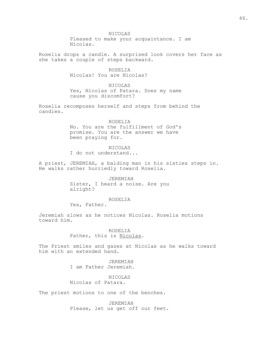NICOLAS Pleased to make your acquaintance. I am Nicolas.

Roselia drops a candle. A surprised look covers her face as she takes a couple of steps backward.

> ROSELIA Nicolas! You are Nicolas?

NICOLAS Yes, Nicolas of Patara. Does my name cause you discomfort?

Roselia recomposes herself and steps from behind the candles.

> ROSELIA No. You are the fulfillment of God's promise. You are the answer we have been praying for.

> > NICOLAS

I do not understand...

A priest, JEREMIAH, a balding man in his sixties steps in. He walks rather hurriedly toward Roselia.

> JEREMIAH Sister, I heard a noise. Are you alright?

## ROSELIA

Yes, Father.

Jeremiah slows as he notices Nicolas. Roselia motions toward him.

> ROSELIA Father, this is Nicolas.

The Priest smiles and gazes at Nicolas as he walks toward him with an extended hand.

> JEREMIAH I am Father Jeremiah.

NICOLAS Nicolas of Patara.

The priest motions to one of the benches.

JEREMIAH Please, let us get off our feet.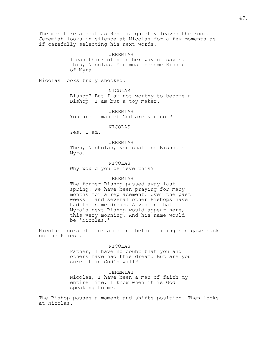The men take a seat as Roselia quietly leaves the room. Jeremiah looks in silence at Nicolas for a few moments as if carefully selecting his next words.

JEREMIAH

I can think of no other way of saying this, Nicolas. You must become Bishop of Myra.

Nicolas looks truly shocked.

NICOLAS

Bishop? But I am not worthy to become a Bishop! I am but a toy maker.

JEREMIAH You are a man of God are you not?

NICOLAS

Yes, I am.

JEREMIAH

Then, Nicholas, you shall be Bishop of Myra.

NICOLAS Why would you believe this?

### JEREMIAH

The former Bishop passed away last spring. We have been praying for many months for a replacement. Over the past weeks I and several other Bishops have had the same dream. A vision that Myra's next Bishop would appear here, this very morning. And his name would be 'Nicolas.'

Nicolas looks off for a moment before fixing his gaze back on the Priest.

#### NICOLAS

Father, I have no doubt that you and others have had this dream. But are you sure it is God's will?

JEREMIAH Nicolas, I have been a man of faith my entire life. I know when it is God speaking to me.

The Bishop pauses a moment and shifts position. Then looks at Nicolas.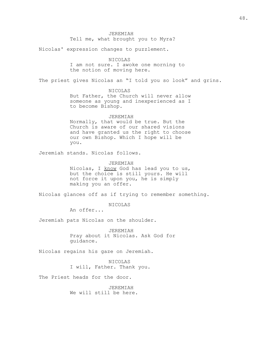## JEREMIAH Tell me, what brought you to Myra?

Nicolas' expression changes to puzzlement.

## NICOLAS

I am not sure. I awoke one morning to the notion of moving here.

The priest gives Nicolas an "I told you so look" and grins.

## NICOLAS

But Father, the Church will never allow someone as young and inexperienced as I to become Bishop.

## JEREMIAH

Normally, that would be true. But the Church is aware of our shared visions and have granted us the right to choose our own Bishop. Which I hope will be you.

Jeremiah stands. Nicolas follows.

### JEREMIAH

Nicolas, I know God has lead you to us, but the choice is still yours. He will not force it upon you, he is simply making you an offer.

Nicolas glances off as if trying to remember something.

NICOLAS

An offer...

Jeremiah pats Nicolas on the shoulder.

JEREMIAH Pray about it Nicolas. Ask God for guidance.

Nicolas regains his gaze on Jeremiah.

NICOLAS I will, Father. Thank you.

The Priest heads for the door.

JEREMIAH We will still be here.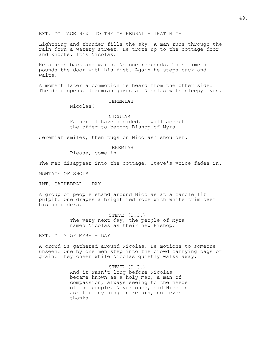EXT. COTTAGE NEXT TO THE CATHEDRAL - THAT NIGHT

Lightning and thunder fills the sky. A man runs through the rain down a watery street. He trots up to the cottage door and knocks. It's Nicolas.

He stands back and waits. No one responds. This time he pounds the door with his fist. Again he steps back and waits.

A moment later a commotion is heard from the other side. The door opens. Jeremiah gazes at Nicolas with sleepy eyes.

JEREMIAH

Nicolas?

NICOLAS Father. I have decided. I will accept the offer to become Bishop of Myra.

Jeremiah smiles, then tugs on Nicolas' shoulder.

JEREMIAH

Please, come in.

The men disappear into the cottage. Steve's voice fades in.

MONTAGE OF SHOTS

INT. CATHEDRAL – DAY

A group of people stand around Nicolas at a candle lit pulpit. One drapes a bright red robe with white trim over his shoulders.

> STEVE (O.C.) The very next day, the people of Myra named Nicolas as their new Bishop.

EXT. CITY OF MYRA - DAY

A crowd is gathered around Nicolas. He motions to someone unseen. One by one men step into the crowd carrying bags of grain. They cheer while Nicolas quietly walks away.

> STEVE (O.C.) And it wasn't long before Nicolas became known as a holy man, a man of compassion, always seeing to the needs of the people. Never once, did Nicolas ask for anything in return, not even thanks.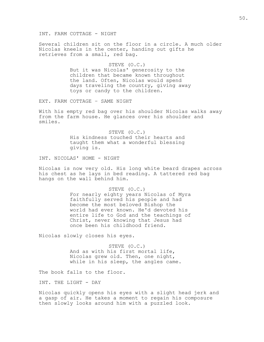INT. FARM COTTAGE - NIGHT

Several children sit on the floor in a circle. A much older Nicolas kneels in the center, handing out gifts he retrieves from a small, red bag.

#### STEVE (O.C.)

But it was Nicolas' generosity to the children that became known throughout the land. Often, Nicolas would spend days traveling the country, giving away toys or candy to the children.

EXT. FARM COTTAGE – SAME NIGHT

With his empty red bag over his shoulder Nicolas walks away from the farm house. He glances over his shoulder and smiles.

> STEVE (O.C.) His kindness touched their hearts and taught them what a wonderful blessing giving is.

INT. NICOLAS' HOME - NIGHT

Nicolas is now very old. His long white beard drapes across his chest as he lays in bed reading. A tattered red bag hangs on the wall behind him.

### STEVE (O.C.)

For nearly eighty years Nicolas of Myra faithfully served his people and had become the most beloved Bishop the world had ever known. He'd devoted his entire life to God and the teachings of Christ, never knowing that Jesus had once been his childhood friend.

Nicolas slowly closes his eyes.

STEVE (O.C.) And as with his first mortal life, Nicolas grew old. Then, one night, while in his sleep, the angles came.

The book falls to the floor.

INT. THE LIGHT - DAY

Nicolas quickly opens his eyes with a slight head jerk and a gasp of air. He takes a moment to regain his composure then slowly looks around him with a puzzled look.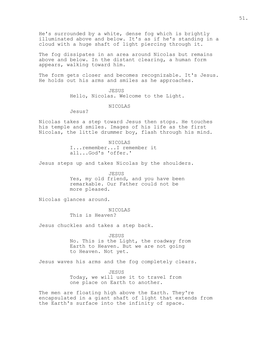He's surrounded by a white, dense fog which is brightly illuminated above and below. It's as if he's standing in a cloud with a huge shaft of light piercing through it.

The fog dissipates in an area around Nicolas but remains above and below. In the distant clearing, a human form appears, walking toward him.

The form gets closer and becomes recognizable. It's Jesus. He holds out his arms and smiles as he approaches.

> JESUS Hello, Nicolas. Welcome to the Light.

> > NICOLAS

Jesus?

Nicolas takes a step toward Jesus then stops. He touches his temple and smiles. Images of his life as the first Nicolas, the little drummer boy, flash through his mind.

> NICOLAS I...remember...I remember it all...God's 'offer.'

Jesus steps up and takes Nicolas by the shoulders.

JESUS Yes, my old friend, and you have been remarkable. Our Father could not be more pleased.

Nicolas glances around.

NICOLAS This is Heaven?

Jesus chuckles and takes a step back.

JESUS No. This is the Light, the roadway from Earth to Heaven. But we are not going to Heaven. Not yet.

Jesus waves his arms and the fog completely clears.

JESUS Today, we will use it to travel from one place on Earth to another.

The men are floating high above the Earth. They're encapsulated in a giant shaft of light that extends from the Earth's surface into the infinity of space.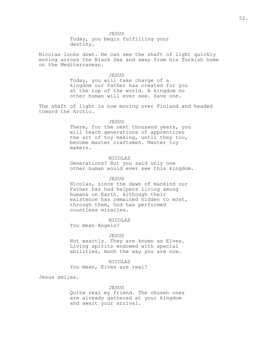JESUS

Today, you begin fulfilling your destiny.

Nicolas looks down. He can see the shaft of light quickly moving across the Black Sea and away from his Turkish home on the Mediterranean.

JESUS

Today, you will take charge of a kingdom our Father has created for you at the top of the world. A kingdom no other human will ever see. Save one.

The shaft of light is now moving over Finland and headed toward the Arctic.

#### JESUS

There, for the next thousand years, you will teach generations of apprentices the art of toy making, until they too, become master craftsmen. Master toy makers.

### NICOLAS

Generations? But you said only one other human would ever see this kingdom.

#### JESUS

Nicolas, since the dawn of mankind our Father has had helpers living among humans on Earth. Although their existence has remained hidden to most, through them, God has performed countless miracles.

## NICOLAS

You mean Angels?

#### JESUS

Not exactly. They are known as Elves. Living spirits endowed with special abilities, much the way you are now.

#### NICOLAS

You mean, Elves are real?

Jesus smiles.

## JESUS

Quite real my friend. The chosen ones are already gathered at your kingdom and await your arrival.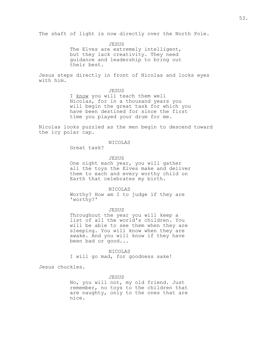The shaft of light is now directly over the North Pole.

JESUS The Elves are extremely intelligent, but they lack creativity. They need guidance and leadership to bring out their best.

Jesus steps directly in front of Nicolas and locks eyes with him.

#### JESUS

I know you will teach them well Nicolas, for in a thousand years you will begin the great task for which you have been destined for since the first time you played your drum for me.

Nicolas looks puzzled as the men begin to descend toward the icy polar cap.

## NICOLAS

Great task?

## JESUS

One night each year, you will gather all the toys the Elves make and deliver them to each and every worthy child on Earth that celebrates my birth.

#### NICOLAS

Worthy? How am I to judge if they are 'worthy?'

### JESUS

Throughout the year you will keep a list of all the world's children. You will be able to see them when they are sleeping. You will know when they are awake. And you will know if they have been bad or good...

## NICOLAS

I will go mad, for goodness sake!

Jesus chuckles.

### JESUS

No, you will not, my old friend. Just remember, no toys to the children that are naughty, only to the ones that are nice.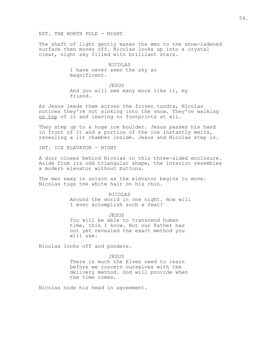The shaft of light gently eases the men to the snow-ladened surface then moves off. Nicolas looks up into a crystal clear, night sky filled with brilliant stars.

> NICOLAS I have never seen the sky so magnificent.

JESUS And you will see many more like it, my friend.

As Jesus leads them across the frozen tundra, Nicolas notices they're not sinking into the snow. They're walking on top of it and leaving no footprints at all.

They step up to a huge ice boulder. Jesus passes his hand in front of it and a portion of the ice instantly melts, revealing a lit chamber inside. Jesus and Nicolas step in.

INT. ICE ELEVATOR - NIGHT

A door closes behind Nicolas in this three-sided enclosure. Aside from its odd triangular shape, the interior resembles a modern elevator without buttons.

The men sway in unison as the elevator begins to move. Nicolas tugs the white hair on his chin.

> NICOLAS Around the world in one night. How will I ever accomplish such a feat?

JESUS You will be able to transcend human time, this I know. But our Father has not yet revealed the exact method you will use.

Nicolas looks off and ponders.

JESUS

There is much the Elves need to learn before we concern ourselves with the delivery method. God will provide when the time comes.

Nicolas nods his head in agreement.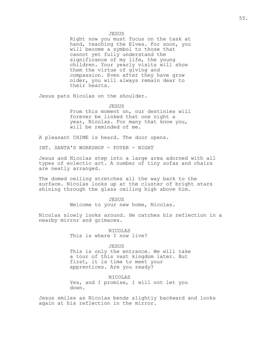#### JESUS

Right now you must focus on the task at hand, teaching the Elves. For soon, you will become a symbol to those that cannot yet fully understand the significance of my life, the young children. Your yearly visits will show them the virtue of giving and compassion. Even after they have grow older, you will always remain dear to their hearts.

Jesus pats Nicolas on the shoulder.

### JESUS

From this moment on, our destinies will forever be linked that one night a year, Nicolas. For many that know you, will be reminded of me.

A pleasant CHIME is heard. The door opens.

INT. SANTA'S WORKSHOP - FOYER - NIGHT

Jesus and Nicolas step into a large area adorned with all types of eclectic art. A number of tiny sofas and chairs are neatly arranged.

The domed ceiling stretches all the way back to the surface. Nicolas looks up at the cluster of bright stars shining through the glass ceiling high above him.

> JESUS Welcome to your new home, Nicolas.

Nicolas slowly looks around. He catches his reflection in a nearby mirror and grimaces.

> NICOLAS This is where I now live?

JESUS This is only the entrance. We will take a tour of this vast kingdom later. But first, it is time to meet your apprentices. Are you ready?

NICOLAS Yes, and I promise, I will not let you down.

Jesus smiles as Nicolas bends slightly backward and looks again at his reflection in the mirror.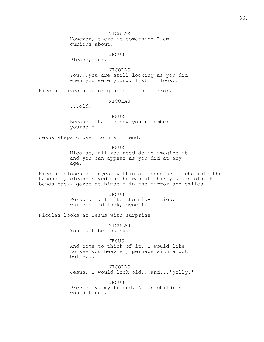JESUS

Please, ask.

NICOLAS You...you are still looking as you did when you were young. I still look...

Nicolas gives a quick glance at the mirror.

NICOLAS

...old.

JESUS Because that is how you remember yourself.

Jesus steps closer to his friend.

JESUS

Nicolas, all you need do is imagine it and you can appear as you did at any age.

Nicolas closes his eyes. Within a second he morphs into the handsome, clean-shaved man he was at thirty years old. He bends back, gazes at himself in the mirror and smiles.

> JESUS Personally I like the mid-fifties, white beard look, myself.

Nicolas looks at Jesus with surprise.

NICOLAS You must be joking.

JESUS And come to think of it, I would like to see you heavier, perhaps with a pot belly...

NICOLAS Jesus, I would look old...and...'jolly.'

JESUS Precisely, my friend. A man children would trust.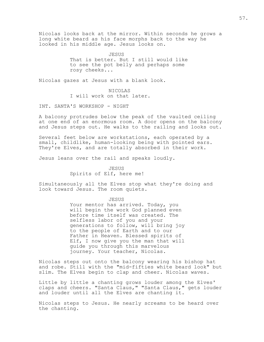Nicolas looks back at the mirror. Within seconds he grows a long white beard as his face morphs back to the way he looked in his middle age. Jesus looks on.

> JESUS That is better. But I still would like to see the pot belly and perhaps some rosy cheeks...

Nicolas gazes at Jesus with a blank look.

NICOLAS I will work on that later.

INT. SANTA'S WORKSHOP - NIGHT

A balcony protrudes below the peak of the vaulted ceiling at one end of an enormous room. A door opens on the balcony and Jesus steps out. He walks to the railing and looks out.

Several feet below are workstations, each operated by a small, childlike, human-looking being with pointed ears. They're Elves, and are totally absorbed in their work.

Jesus leans over the rail and speaks loudly.

JESUS Spirits of Elf, here me!

Simultaneously all the Elves stop what they're doing and look toward Jesus. The room quiets.

JESUS

Your mentor has arrived. Today, you will begin the work God planned even before time itself was created. The selfless labor of you and your generations to follow, will bring joy to the people of Earth and to our Father in Heaven. Blessed spirits of Elf, I now give you the man that will guide you through this marvelous journey. Your teacher, Nicolas.

Nicolas steps out onto the balcony wearing his bishop hat and robe. Still with the "mid-fifties white beard look" but slim. The Elves begin to clap and cheer. Nicolas waves.

Little by little a chanting grows louder among the Elves' claps and cheers. "Santa Claus," "Santa Claus," gets louder and louder until all the Elves are chanting it.

Nicolas steps to Jesus. He nearly screams to be heard over the chanting.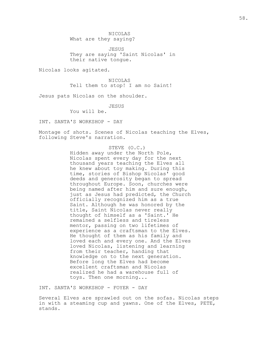NICOLAS What are they saying?

JESUS They are saying 'Saint Nicolas' in their native tongue.

Nicolas looks agitated.

NICOLAS Tell them to stop! I am no Saint!

Jesus pats Nicolas on the shoulder.

JESUS

You will be.

INT. SANTA'S WORKSHOP - DAY

Montage of shots. Scenes of Nicolas teaching the Elves, following Steve's narration.

## STEVE (O.C.)

Hidden away under the North Pole, Nicolas spent every day for the next thousand years teaching the Elves all he knew about toy making. During this time, stories of Bishop Nicolas' good deeds and generosity began to spread throughout Europe. Soon, churches were being named after him and sure enough, just as Jesus had predicted, the Church officially recognized him as a true Saint. Although he was honored by the title, Saint Nicolas never really thought of himself as a 'Saint.' He remained a selfless and tireless mentor, passing on two lifetimes of experience as a craftsman to the Elves. He thought of them as his family and loved each and every one. And the Elves loved Nicolas, listening and learning from their teacher, handing that knowledge on to the next generation. Before long the Elves had become excellent craftsman and Nicolas realized he had a warehouse full of toys. Then one morning...

INT. SANTA'S WORKSHOP - FOYER - DAY

Several Elves are sprawled out on the sofas. Nicolas steps in with a steaming cup and yawns. One of the Elves, PETE, stands.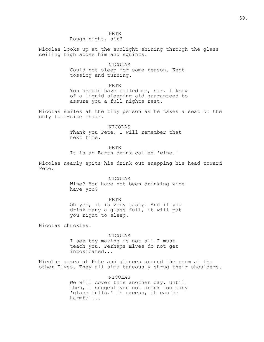PETE Rough night, sir?

Nicolas looks up at the sunlight shining through the glass ceiling high above him and squints.

## NICOLAS

Could not sleep for some reason. Kept tossing and turning.

### PETE

You should have called me, sir. I know of a liquid sleeping aid guaranteed to assure you a full nights rest.

Nicolas smiles at the tiny person as he takes a seat on the only full-size chair.

> NICOLAS Thank you Pete. I will remember that next time.

> > PETE

It is an Earth drink called 'wine.'

Nicolas nearly spits his drink out snapping his head toward Pete.

> NICOLAS Wine? You have not been drinking wine have you?

> > PETE

Oh yes, it is very tasty. And if you drink many a glass full, it will put you right to sleep.

Nicolas chuckles.

NICOLAS I see toy making is not all I must teach you. Perhaps Elves do not get intoxicated...

Nicolas gazes at Pete and glances around the room at the other Elves. They all simultaneously shrug their shoulders.

> NICOLAS We will cover this another day. Until then, I suggest you not drink too many 'glass fulls.' In excess, it can be harmful...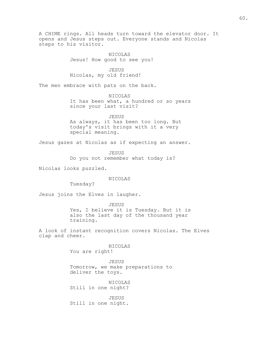A CHIME rings. All heads turn toward the elevator door. It opens and Jesus steps out. Everyone stands and Nicolas steps to his visitor.

> NICOLAS Jesus! How good to see you!

JESUS Nicolas, my old friend!

The men embrace with pats on the back.

NICOLAS It has been what, a hundred or so years since your last visit?

JESUS As always, it has been too long. But today's visit brings with it a very special meaning.

Jesus gazes at Nicolas as if expecting an answer.

JESUS Do you not remember what today is?

Nicolas looks puzzled.

NICOLAS

Tuesday?

Jesus joins the Elves in laugher.

JESUS Yes, I believe it is Tuesday. But it is also the last day of the thousand year training.

A look of instant recognition covers Nicolas. The Elves clap and cheer.

> NICOLAS You are right!

JESUS Tomorrow, we make preparations to deliver the toys.

NICOLAS Still in one night?

JESUS Still in one night.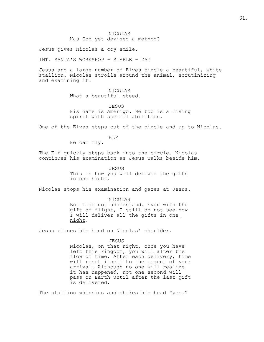# NICOLAS Has God yet devised a method?

Jesus gives Nicolas a coy smile.

INT. SANTA'S WORKSHOP - STABLE - DAY

Jesus and a large number of Elves circle a beautiful, white stallion. Nicolas strolls around the animal, scrutinizing and examining it.

# NICOLAS

What a beautiful steed.

**JESUS** His name is Amerigo. He too is a living spirit with special abilities.

One of the Elves steps out of the circle and up to Nicolas.

ELF

He can fly.

The Elf quickly steps back into the circle. Nicolas continues his examination as Jesus walks beside him.

> JESUS This is how you will deliver the gifts in one night.

Nicolas stops his examination and gazes at Jesus.

NICOLAS But I do not understand. Even with the gift of flight, I still do not see how I will deliver all the gifts in one night.

Jesus places his hand on Nicolas' shoulder.

#### JESUS

Nicolas, on that night, once you have left this kingdom, you will alter the flow of time. After each delivery, time will reset itself to the moment of your arrival. Although no one will realize it has happened, not one second will pass on Earth until after the last gift is delivered.

The stallion whinnies and shakes his head "yes."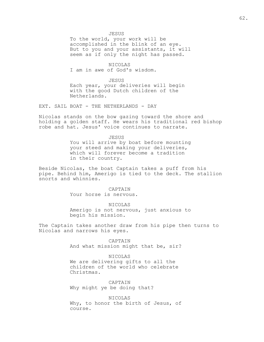JESUS

To the world, your work will be accomplished in the blink of an eye. But to you and your assistants, it will seem as if only the night has passed.

NICOLAS I am in awe of God's wisdom.

JESUS Each year, your deliveries will begin with the good Dutch children of the Netherlands.

EXT. SAIL BOAT - THE NETHERLANDS - DAY

Nicolas stands on the bow gazing toward the shore and holding a golden staff. He wears his traditional red bishop robe and hat. Jesus' voice continues to narrate.

> JESUS You will arrive by boat before mounting your steed and making your deliveries, which will forever become a tradition in their country.

Beside Nicolas, the boat Captain takes a puff from his pipe. Behind him, Amerigo is tied to the deck. The stallion snorts and whinnies.

> CAPTAIN Your horse is nervous.

NICOLAS Amerigo is not nervous, just anxious to

begin his mission.

The Captain takes another draw from his pipe then turns to Nicolas and narrows his eyes.

> CAPTAIN And what mission might that be, sir?

## NICOLAS

We are delivering gifts to all the children of the world who celebrate Christmas.

CAPTAIN Why might ye be doing that?

NICOLAS Why, to honor the birth of Jesus, of course.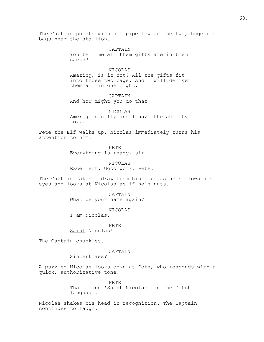The Captain points with his pipe toward the two, huge red bags near the stallion.

> CAPTAIN You tell me all them gifts are in them sacks?

NICOLAS Amazing, is it not? All the gifts fit into those two bags. And I will deliver them all in one night.

CAPTAIN And how might you do that?

NICOLAS Amerigo can fly and I have the ability to...

Pete the Elf walks up. Nicolas immediately turns his attention to him.

> PETE Everything is ready, sir.

NICOLAS Excellent. Good work, Pete.

The Captain takes a draw from his pipe as he narrows his eyes and looks at Nicolas as if he's nuts.

> CAPTAIN What be your name again?

NICOLAS I am Nicolas.

PETE Saint Nicolas!

The Captain chuckles.

## CAPTAIN

Sinterklass?

A puzzled Nicolas looks down at Pete, who responds with a quick, authoritative tone.

> PETE That means 'Saint Nicolas' in the Dutch language.

Nicolas shakes his head in recognition. The Captain continues to laugh.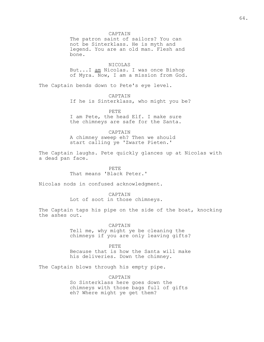CAPTAIN The patron saint of sailors? You can not be Sinterklass. He is myth and legend. You are an old man. Flesh and bone.

NICOLAS But...I am Nicolas. I was once Bishop of Myra. Now, I am a mission from God.

The Captain bends down to Pete's eye level.

CAPTAIN

If he is Sinterklass, who might you be?

PETE

I am Pete, the head Elf. I make sure the chimneys are safe for the Santa.

CAPTAIN

A chimney sweep eh? Then we should start calling ye 'Zwarte Pieten.'

The Captain laughs. Pete quickly glances up at Nicolas with a dead pan face.

> PETE That means 'Black Peter.'

Nicolas nods in confused acknowledgment.

CAPTAIN

Lot of soot in those chimneys.

The Captain taps his pipe on the side of the boat, knocking the ashes out.

> CAPTAIN Tell me, why might ye be cleaning the chimneys if you are only leaving gifts?

> PETE Because that is how the Santa will make his deliveries. Down the chimney.

The Captain blows through his empty pipe.

CAPTAIN So Sinterklass here goes down the chimneys with those bags full of gifts eh? Where might ye get them?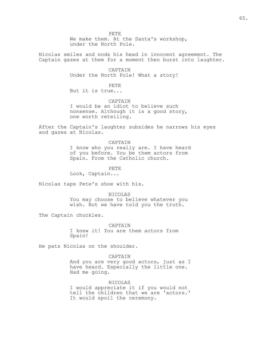PETE We make them. At the Santa's workshop, under the North Pole.

Nicolas smiles and nods his head in innocent agreement. The Captain gazes at them for a moment then burst into laughter.

> CAPTAIN Under the North Pole! What a story!

PETE But it is true...

CAPTAIN I would be an idiot to believe such nonsense. Although it is a good story, one worth retelling.

After the Captain's laughter subsides he narrows his eyes and gazes at Nicolas.

## CAPTAIN

I know who you really are. I have heard of you before. You be them actors from Spain. From the Catholic church.

## PETE

Look, Captain...

Nicolas taps Pete's shoe with his.

#### NICOLAS

You may choose to believe whatever you wish. But we have told you the truth.

The Captain chuckles.

#### CAPTAIN

I knew it! You are them actors from Spain!

He pats Nicolas on the shoulder.

#### CAPTAIN

And you are very good actors, just as I have heard. Especially the little one. Had me going.

### NICOLAS

I would appreciate it if you would not tell the children that we are 'actors.' It would spoil the ceremony.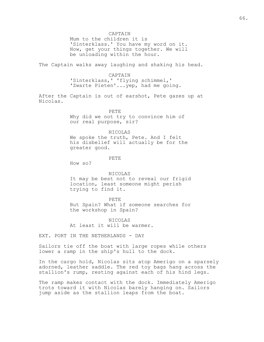CAPTAIN

Mum to the children it is 'Sinterklass.' You have my word on it. Now, get your things together. We will be unloading within the hour.

The Captain walks away laughing and shaking his head.

CAPTAIN 'Sinterklass,' 'flying schimmel,' 'Zwarte Pieten'...yep, had me going.

After the Captain is out of earshot, Pete gazes up at Nicolas.

> PETE Why did we not try to convince him of our real purpose, sir?

> > NICOLAS

We spoke the truth, Pete. And I felt his disbelief will actually be for the greater good.

PETE

How so?

### NICOLAS

It may be best not to reveal our frigid location, least someone might perish trying to find it.

#### PETE

But Spain? What if someone searches for the workshop in Spain?

NICOLAS At least it will be warmer.

EXT. PORT IN THE NETHERLANDS - DAY

Sailors tie off the boat with large ropes while others lower a ramp in the ship's hull to the dock.

In the cargo hold, Nicolas sits atop Amerigo on a sparsely adorned, leather saddle. The red toy bags hang across the stallion's rump, resting against each of his hind legs.

The ramp makes contact with the dock. Immediately Amerigo trots toward it with Nicolas barely hanging on. Sailors jump aside as the stallion leaps from the boat.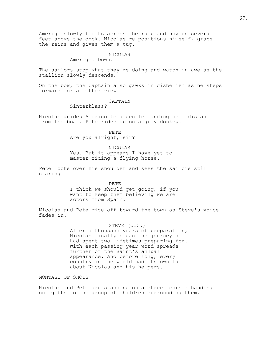Amerigo slowly floats across the ramp and hovers several feet above the dock. Nicolas re-positions himself, grabs the reins and gives them a tug.

#### NICOLAS

Amerigo. Down.

The sailors stop what they're doing and watch in awe as the stallion slowly descends.

On the bow, the Captain also gawks in disbelief as he steps forward for a better view.

### CAPTAIN

Sinterklass?

Nicolas guides Amerigo to a gentle landing some distance from the boat. Pete rides up on a gray donkey.

> PETE Are you alright, sir?

## NICOLAS

Yes. But it appears I have yet to master riding a flying horse.

Pete looks over his shoulder and sees the sailors still staring.

PETE

I think we should get going, if you want to keep them believing we are actors from Spain.

Nicolas and Pete ride off toward the town as Steve's voice fades in.

## STEVE (O.C.)

After a thousand years of preparation, Nicolas finally began the journey he had spent two lifetimes preparing for. With each passing year word spreads further of the Saint's annual appearance. And before long, every country in the world had its own tale about Nicolas and his helpers.

MONTAGE OF SHOTS

Nicolas and Pete are standing on a street corner handing out gifts to the group of children surrounding them.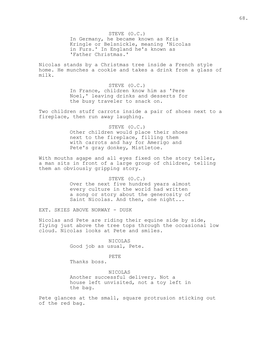STEVE (O.C.) In Germany, he became known as Kris Kringle or Belsnickle, meaning 'Nicolas in Furs.' In England he's known as 'Father Christmas.'

Nicolas stands by a Christmas tree inside a French style home. He munches a cookie and takes a drink from a glass of milk.

### STEVE (O.C.)

In France, children know him as 'Pere Noel,' leaving drinks and desserts for the busy traveler to snack on.

Two children stuff carrots inside a pair of shoes next to a fireplace, then run away laughing.

> STEVE (O.C.) Other children would place their shoes next to the fireplace, filling them with carrots and hay for Amerigo and Pete's gray donkey, Mistletoe.

With mouths agape and all eyes fixed on the story teller, a man sits in front of a large group of children, telling them an obviously gripping story.

> STEVE (O.C.) Over the next five hundred years almost every culture in the world had written a song or story about the generosity of Saint Nicolas. And then, one night...

EXT. SKIES ABOVE NORWAY - DUSK

Nicolas and Pete are riding their equine side by side, flying just above the tree tops through the occasional low cloud. Nicolas looks at Pete and smiles.

> NICOLAS Good job as usual, Pete.

# PETE

Thanks boss.

NICOLAS Another successful delivery. Not a house left unvisited, not a toy left in the bag.

Pete glances at the small, square protrusion sticking out of the red bag.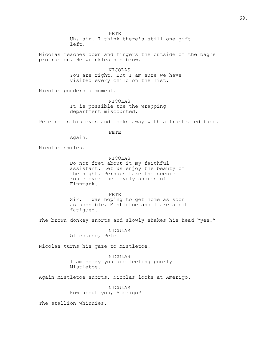PETE Uh, sir. I think there's still one gift left.

Nicolas reaches down and fingers the outside of the bag's protrusion. He wrinkles his brow.

> NICOLAS You are right. But I am sure we have visited every child on the list.

Nicolas ponders a moment.

NICOLAS It is possible the the wrapping department miscounted.

Pete rolls his eyes and looks away with a frustrated face.

PETE

Again.

Nicolas smiles.

NICOLAS

Do not fret about it my faithful assistant. Let us enjoy the beauty of the night. Perhaps take the scenic route over the lovely shores of Finnmark.

PETE Sir, I was hoping to get home as soon as possible. Mistletoe and I are a bit fatigued.

The brown donkey snorts and slowly shakes his head "yes."

NICOLAS Of course, Pete.

Nicolas turns his gaze to Mistletoe.

NICOLAS I am sorry you are feeling poorly Mistletoe.

Again Mistletoe snorts. Nicolas looks at Amerigo.

NICOLAS How about you, Amerigo?

The stallion whinnies.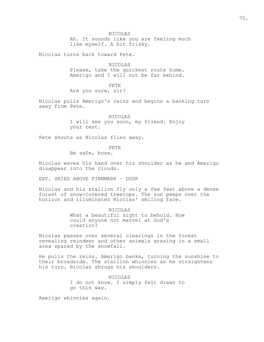NICOLAS

Ah. It sounds like you are feeling much like myself. A bit frisky.

Nicolas turns back toward Pete.

NICOLAS Please, take the quickest route home. Amerigo and I will not be far behind.

PETE Are you sure, sir?

Nicolas pulls Amerigo's reins and begins a banking turn away from Pete.

> NICOLAS I will see you soon, my friend. Enjoy your rest.

Pete shouts as Nicolas flies away.

PETE

Be safe, boss.

Nicolas waves his hand over his shoulder as he and Amerigo disappear into the clouds.

EXT. SKIES ABOVE FINNMARK – DUSK

Nicolas and his stallion fly only a few feet above a dense forest of snow-covered treetops. The sun peeps over the horizon and illuminates Nicolas' smiling face.

> NICOLAS What a beautiful sight to behold. How could anyone not marvel at God's creation?

Nicolas passes over several clearings in the forest revealing reindeer and other animals grazing in a small area spared by the snowfall.

He pulls the reins. Amerigo banks, turning the sunshine to their broadside. The stallion whinnies as he straightens his turn. Nicolas shrugs his shoulders.

> NICOLAS I do not know. I simply felt drawn to go this way.

Amerigo whinnies again.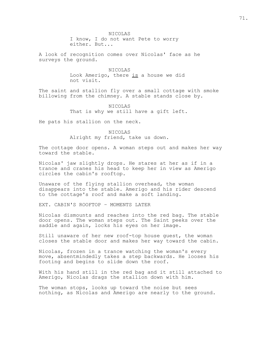I know, I do not want Pete to worry either. But...

A look of recognition comes over Nicolas' face as he surveys the ground.

> NICOLAS Look Amerigo, there is a house we did not visit.

The saint and stallion fly over a small cottage with smoke billowing from the chimney. A stable stands close by.

> NICOLAS That is why we still have a gift left.

He pats his stallion on the neck.

NICOLAS Alright my friend, take us down.

The cottage door opens. A woman steps out and makes her way toward the stable.

Nicolas' jaw slightly drops. He stares at her as if in a trance and cranes his head to keep her in view as Amerigo circles the cabin's rooftop.

Unaware of the flying stallion overhead, the woman disappears into the stable. Amerigo and his rider descend to the cottage's roof and make a soft landing.

EXT. CABIN'S ROOFTOP – MOMENTS LATER

Nicolas dismounts and reaches into the red bag. The stable door opens. The woman steps out. The Saint peeks over the saddle and again, locks his eyes on her image.

Still unaware of her new roof-top house guest, the woman closes the stable door and makes her way toward the cabin.

Nicolas, frozen in a trance watching the woman's every move, absentmindedly takes a step backwards. He looses his footing and begins to slide down the roof.

With his hand still in the red bag and it still attached to Amerigo, Nicolas drags the stallion down with him.

The woman stops, looks up toward the noise but sees nothing, as Nicolas and Amerigo are nearly to the ground.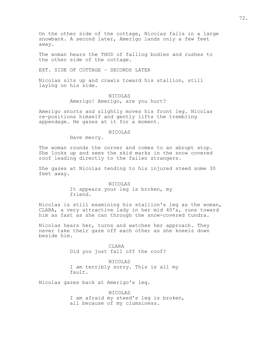On the other side of the cottage, Nicolas falls in a large snowbank. A second later, Amerigo lands only a few feet away.

The woman hears the THUD of falling bodies and rushes to the other side of the cottage.

EXT. SIDE OF COTTAGE – SECONDS LATER

Nicolas sits up and crawls toward his stallion, still laying on his side.

> NICOLAS Amerigo! Amerigo, are you hurt?

Amerigo snorts and slightly moves his front leg. Nicolas re-positions himself and gently lifts the trembling appendage. He gazes at it for a moment.

#### NICOLAS

Have mercy.

The woman rounds the corner and comes to an abrupt stop. She looks up and sees the skid marks in the snow covered roof leading directly to the fallen strangers.

She gazes at Nicolas tending to his injured steed some 30 feet away.

> NICOLAS It appears your leg is broken, my friend.

Nicolas is still examining his stallion's leg as the woman, CLARA, a very attractive lady in her mid 40's, runs toward him as fast as she can through the snow-covered tundra.

Nicolas hears her, turns and watches her approach. They never take their gaze off each other as she kneels down beside him.

> CLARA Did you just fall off the roof?

NICOLAS I am terribly sorry. This is all my fault.

Nicolas gazes back at Amerigo's leg.

NICOLAS I am afraid my steed's leg is broken, all because of my clumsiness.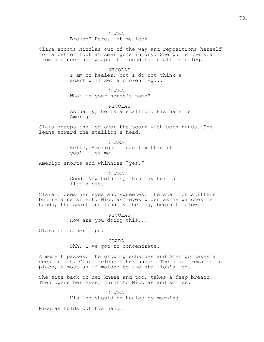Clara scoots Nicolas out of the way and repositions herself for a better look at Amerigo's injury. She pulls the scarf from her neck and wraps it around the stallion's leg.

> NICOLAS I am no healer, but I do not think a scarf will set a broken leg...

CLARA What is your horse's name?

NICOLAS Actually, he is a stallion. His name is Amerigo.

Clara grasps the leg over the scarf with both hands. She leans toward the stallion's head.

> CLARA Hello, Amerigo. I can fix this if you'll let me.

Amerigo snorts and whinnies "yes."

CLARA Good. Now hold on, this may hurt a little bit.

Clara closes her eyes and squeezes. The stallion stiffens but remains silent. Nicolas' eyes widen as he watches her hands, the scarf and finally the leg, begin to glow.

> NICOLAS How are you doing this...

Clara puffs her lips.

CLARA Shh. I've got to concentrate.

A moment passes. The glowing subsides and Amerigo takes a deep breath. Clara releases her hands. The scarf remains in place, almost as if molded to the stallion's leg.

She sits back on her knees and too, takes a deep breath. Then opens her eyes, turns to Nicolas and smiles.

> CLARA His leg should be healed by morning.

Nicolas holds out his hand.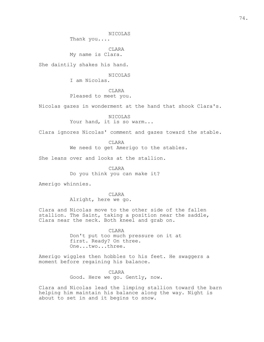NICOLAS

Thank you....

CLARA My name is Clara.

She daintily shakes his hand.

NICOLAS

I am Nicolas.

CLARA

Pleased to meet you.

Nicolas gazes in wonderment at the hand that shook Clara's.

NICOLAS Your hand, it is so warm...

Clara ignores Nicolas' comment and gazes toward the stable.

CLARA We need to get Amerigo to the stables.

She leans over and looks at the stallion.

CLARA Do you think you can make it?

Amerigo whinnies.

CLARA Alright, here we go.

Clara and Nicolas move to the other side of the fallen stallion. The Saint, taking a position near the saddle, Clara near the neck. Both kneel and grab on.

> CLARA Don't put too much pressure on it at first. Ready? On three. One...two...three.

Amerigo wiggles then hobbles to his feet. He swaggers a moment before regaining his balance.

> CLARA Good. Here we go. Gently, now.

Clara and Nicolas lead the limping stallion toward the barn helping him maintain his balance along the way. Night is about to set in and it begins to snow.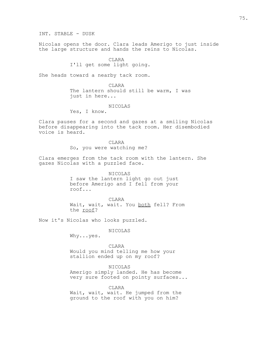INT. STABLE - DUSK

Nicolas opens the door. Clara leads Amerigo to just inside the large structure and hands the reins to Nicolas.

> **CLARA** I'll get some light going.

She heads toward a nearby tack room.

CLARA The lantern should still be warm, I was just in here...

NICOLAS

Yes, I know.

Clara pauses for a second and gazes at a smiling Nicolas before disappearing into the tack room. Her disembodied voice is heard.

> CLARA So, you were watching me?

Clara emerges from the tack room with the lantern. She gazes Nicolas with a puzzled face.

> NICOLAS I saw the lantern light go out just before Amerigo and I fell from your roof...

CLARA Wait, wait, wait. You both fell? From the roof?

Now it's Nicolas who looks puzzled.

NICOLAS

Why...yes.

CLARA Would you mind telling me how your stallion ended up on my roof?

NICOLAS Amerigo simply landed. He has become very sure footed on pointy surfaces...

CLARA Wait, wait, wait. He jumped from the ground to the roof with you on him?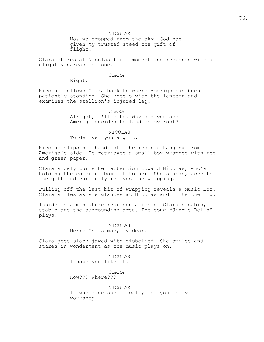NICOLAS

No, we dropped from the sky. God has given my trusted steed the gift of flight.

Clara stares at Nicolas for a moment and responds with a slightly sarcastic tone.

#### CLARA

Right.

Nicolas follows Clara back to where Amerigo has been patiently standing. She kneels with the lantern and examines the stallion's injured leg.

> CLARA Alright, I'll bite. Why did you and Amerigo decided to land on my roof?

NICOLAS To deliver you a gift.

Nicolas slips his hand into the red bag hanging from Amerigo's side. He retrieves a small box wrapped with red and green paper.

Clara slowly turns her attention toward Nicolas, who's holding the colorful box out to her. She stands, accepts the gift and carefully removes the wrapping.

Pulling off the last bit of wrapping reveals a Music Box. Clara smiles as she glances at Nicolas and lifts the lid.

Inside is a miniature representation of Clara's cabin, stable and the surrounding area. The song "Jingle Bells" plays.

> NICOLAS Merry Christmas, my dear.

Clara goes slack-jawed with disbelief. She smiles and stares in wonderment as the music plays on.

> NICOLAS I hope you like it.

CLARA How??? Where???

NICOLAS It was made specifically for you in my workshop.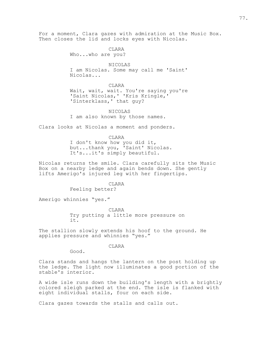For a moment, Clara gazes with admiration at the Music Box. Then closes the lid and locks eyes with Nicolas.

> **CLARA** Who...who are you?

NICOLAS I am Nicolas. Some may call me 'Saint' Nicolas...

CLARA

Wait, wait, wait. You're saying you're 'Saint Nicolas,' 'Kris Kringle,' 'Sinterklass,' that guy?

NICOLAS I am also known by those names.

Clara looks at Nicolas a moment and ponders.

CLARA I don't know how you did it, but...thank you, 'Saint' Nicolas. It's...it's simply beautiful.

Nicolas returns the smile. Clara carefully sits the Music Box on a nearby ledge and again bends down. She gently lifts Amerigo's injured leg with her fingertips.

**CLARA** 

Feeling better?

Amerigo whinnies "yes."

**CLARA** Try putting a little more pressure on it.

The stallion slowly extends his hoof to the ground. He applies pressure and whinnies "yes."

CLARA

Good.

Clara stands and hangs the lantern on the post holding up the ledge. The light now illuminates a good portion of the stable's interior.

A wide isle runs down the building's length with a brightly colored sleigh parked at the end. The isle is flanked with eight individual stalls, four on each side.

Clara gazes towards the stalls and calls out.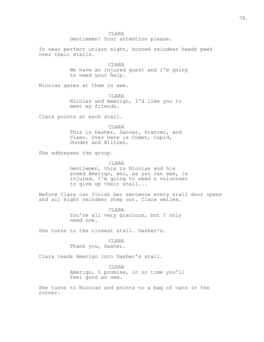CLARA Gentlemen! Your attention please.

In near perfect unison eight, horned reindeer heads peek over their stalls.

> CLARA We have an injured guest and I'm going to need your help.

Nicolas gazes at them in awe.

**CLARA** Nicolas and Amerigo, I'd like you to meet my friends.

Clara points at each stall.

CLARA This is Dasher, Dancer, Prancer, and Vixen. Over here is Comet, Cupid, Donder and Blitzen.

She addresses the group.

CLARA

Gentlemen, this is Nicolas and his steed Amerigo, who, as you can see, is injured. I'm going to need a volunteer to give up their stall...

Before Clara can finish her sentence every stall door opens and all eight reindeer step out. Clara smiles.

> CLARA You're all very gracious, but I only need one.

She turns to the closest stall. Dasher's.

**CLARA** Thank you, Dasher.

Clara leads Amerigo into Dasher's stall.

**CLARA** Amerigo, I promise, in no time you'll feel good as new.

She turns to Nicolas and points to a bag of oats in the corner.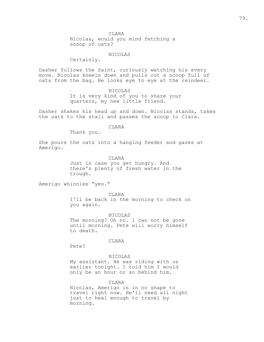Nicolas, would you mind fetching a scoop of oats?

#### NICOLAS

Certainly.

Dasher follows the Saint, curiously watching his every move. Nicolas kneels down and pulls out a scoop full of oats from the bag. He looks eye to eye at the reindeer.

### NICOLAS

It is very kind of you to share your quarters, my new little friend.

Dasher shakes his head up and down. Nicolas stands, takes the oats to the stall and passes the scoop to Clara.

### CLARA

Thank you.

She pours the oats into a hanging feeder and gazes at Amerigo.

CLARA

Just in case you get hungry. And there's plenty of fresh water in the trough.

Amerigo whinnies "yes."

CLARA I'll be back in the morning to check on you again.

NICOLAS The morning? Oh no. I can not be gone until morning. Pete will worry himself to death.

### CLARA

Pete?

### NICOLAS

My assistant. He was riding with us earlier tonight. I told him I would only be an hour or so behind him.

CLARA

Nicolas, Amerigo is in no shape to travel right now. He'll need all night just to heal enough to travel by morning.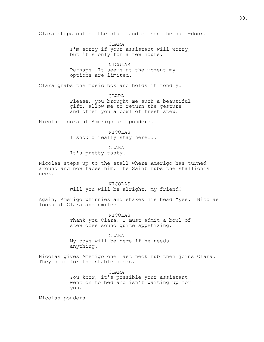Clara steps out of the stall and closes the half-door.

CLARA I'm sorry if your assistant will worry, but it's only for a few hours.

NICOLAS Perhaps. It seems at the moment my options are limited.

Clara grabs the music box and holds it fondly.

**CLARA** Please, you brought me such a beautiful gift, allow me to return the gesture and offer you a bowl of fresh stew.

Nicolas looks at Amerigo and ponders.

NICOLAS I should really stay here...

CLARA

It's pretty tasty.

Nicolas steps up to the stall where Amerigo has turned around and now faces him. The Saint rubs the stallion's neck.

> NICOLAS Will you will be alright, my friend?

Again, Amerigo whinnies and shakes his head "yes." Nicolas looks at Clara and smiles.

> NICOLAS Thank you Clara. I must admit a bowl of stew does sound quite appetizing.

CLARA My boys will be here if he needs anything.

Nicolas gives Amerigo one last neck rub then joins Clara. They head for the stable doors.

> CLARA You know, it's possible your assistant went on to bed and isn't waiting up for you.

Nicolas ponders.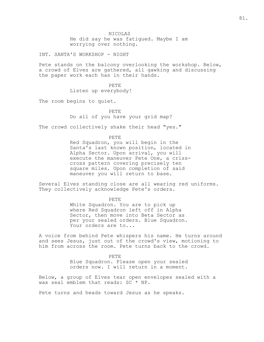NICOLAS He did say he was fatigued. Maybe I am worrying over nothing.

INT. SANTA'S WORKSHOP - NIGHT

Pete stands on the balcony overlooking the workshop. Below, a crowd of Elves are gathered, all gawking and discussing the paper work each has in their hands.

> PETE Listen up everybody!

The room begins to quiet.

PETE Do all of you have your grid map?

The crowd collectively shake their head "yes."

PETE

Red Squadron, you will begin in the Santa's last known position, located in Alpha Sector. Upon arrival, you will execute the maneuver Pete One, a crisscross pattern covering precisely ten square miles. Upon completion of said maneuver you will return to base.

Several Elves standing close are all wearing red uniforms. They collectively acknowledge Pete's orders.

PETE

White Squadron. You are to pick up where Red Squadron left off in Alpha Sector, then move into Beta Sector as per your sealed orders. Blue Squadron. Your orders are to...

A voice from behind Pete whispers his name. He turns around and sees Jesus, just out of the crowd's view, motioning to him from across the room. Pete turns back to the crowd.

> PETE Blue Squadron. Please open your sealed orders now. I will return in a moment.

Below, a group of Elves tear open envelopes sealed with a wax seal emblem that reads: SC \* NP.

Pete turns and heads toward Jesus as he speaks.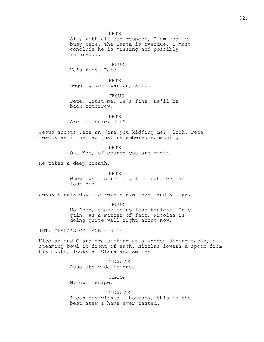PETE Sir, with all due respect, I am really busy here. The Santa is overdue. I must conclude he is missing and possibly injured... JESUS He's fine, Pete. PETE Begging your pardon, sir... **JESUS** Pete. Trust me. He's fine. He'll be back tomorrow. PETE Are you sure, sir? Jesus shoots Pete an "are you kidding me?" look. Pete reacts as if he had just remembered something. PETE Oh. Yes, of course you are right. He takes a deep breath. PETE Whew! What a relief. I thought we had lost him. Jesus kneels down to Pete's eye level and smiles. JESUS No Pete, there is no loss tonight. Only gain. As a matter of fact, Nicolas is doing quite well right about now. INT. CLARA'S COTTAGE - NIGHT Nicolas and Clara are sitting at a wooden dining table, a steaming bowl in front of each. Nicolas lowers a spoon from his mouth, looks at Clara and smiles. NICOLAS Absolutely delicious.

> CLARA My own recipe.

NICOLAS I can say with all honesty, this is the best stew I have ever tasted.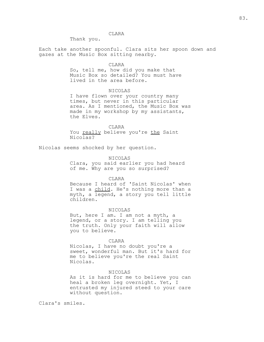Thank you.

Each take another spoonful. Clara sits her spoon down and gazes at the Music Box sitting nearby.

#### CLARA

So, tell me, how did you make that Music Box so detailed? You must have lived in the area before.

### NICOLAS

I have flown over your country many times, but never in this particular area. As I mentioned, the Music Box was made in my workshop by my assistants, the Elves.

#### CLARA

You really believe you're the Saint Nicolas?

Nicolas seems shocked by her question.

### NICOLAS

Clara, you said earlier you had heard of me. Why are you so surprised?

#### CLARA

Because I heard of 'Saint Nicolas' when I was a child. He's nothing more than a myth, a legend, a story you tell little children.

### NICOLAS

But, here I am. I am not a myth, a legend, or a story. I am telling you the truth. Only your faith will allow you to believe.

#### CLARA

Nicolas, I have no doubt you're a sweet, wonderful man. But it's hard for me to believe you're the real Saint Nicolas.

#### NICOLAS

As it is hard for me to believe you can heal a broken leg overnight. Yet, I entrusted my injured steed to your care without question.

Clara's smiles.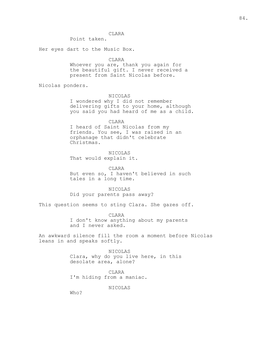Point taken.

Her eyes dart to the Music Box.

CLARA

Whoever you are, thank you again for the beautiful gift. I never received a present from Saint Nicolas before.

Nicolas ponders.

NICOLAS

I wondered why I did not remember delivering gifts to your home, although you said you had heard of me as a child.

CLARA I heard of Saint Nicolas from my friends. You see, I was raised in an orphanage that didn't celebrate Christmas.

NICOLAS That would explain it.

CLARA But even so, I haven't believed in such tales in a long time.

NICOLAS Did your parents pass away?

This question seems to sting Clara. She gazes off.

CLARA I don't know anything about my parents and I never asked.

An awkward silence fill the room a moment before Nicolas leans in and speaks softly.

> NICOLAS Clara, why do you live here, in this desolate area, alone?

CLARA I'm hiding from a maniac.

NICOLAS

Who?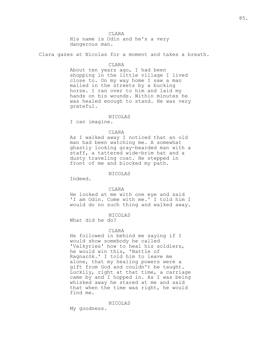His name is Odin and he's a very dangerous man.

Clara gazes at Nicolas for a moment and takes a breath.

#### CLARA

About ten years ago, I had been shopping in the little village I lived close to. On my way home I saw a man malled in the streets by a bucking horse. I ran over to him and laid my hands on his wounds. Within minutes he was healed enough to stand. He was very grateful.

### NICOLAS

I can imagine.

#### CLARA

As I walked away I noticed that an old man had been watching me. A somewhat ghastly looking gray-bearded man with a staff, a tattered wide-brim hat and a dusty traveling coat. He stepped in front of me and blocked my path.

### NICOLAS

Indeed.

#### CLARA

He looked at me with one eye and said 'I am Odin. Come with me.' I told him I would do no such thing and walked away.

#### NICOLAS

What did he do?

#### CLARA

He followed in behind me saying if I would show somebody he called 'Valkyries' how to heal his soldiers, he would win this, 'Battle of Ragnarök.' I told him to leave me alone, that my healing powers were a gift from God and couldn't be taught. Luckily, right at that time, a carriage came by and I hopped in. As I was being whisked away he stared at me and said that when the time was right, he would find me.

#### NICOLAS

My goodness.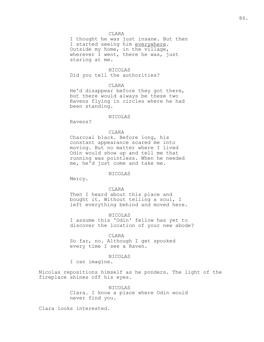I thought he was just insane. But then I started seeing him everywhere. Outside my home, in the village, wherever I went, there he was, just staring at me.

NICOLAS Did you tell the authorities?

### CLARA

He'd disappear before they got there, but there would always be these two Ravens flying in circles where he had been standing.

### NICOLAS

Ravens?

#### CLARA

Charcoal black. Before long, his constant appearance scared me into moving. But no matter where I lived Odin would show up and tell me that running was pointless. When he needed me, he'd just come and take me.

### NICOLAS

Mercy.

#### CLARA

Then I heard about this place and bought it. Without telling a soul, I left everything behind and moved here.

NICOLAS I assume this 'Odin' fellow has yet to discover the location of your new abode?

#### CLARA

So far, no. Although I get spooked every time I see a Raven.

### NICOLAS

I can imagine.

Nicolas repositions himself as he ponders. The light of the fireplace shines off his eyes.

> NICOLAS Clara. I know a place where Odin would never find you.

Clara looks interested.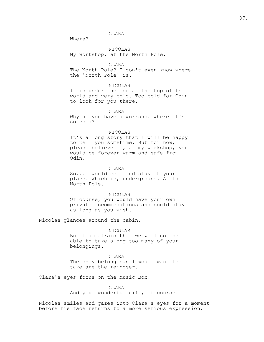Where?

NICOLAS My workshop, at the North Pole.

CLARA

The North Pole? I don't even know where the 'North Pole' is.

### NICOLAS

It is under the ice at the top of the world and very cold. Too cold for Odin to look for you there.

### CLARA

Why do you have a workshop where it's so cold?

#### NICOLAS

It's a long story that I will be happy to tell you sometime. But for now, please believe me, at my workshop, you would be forever warm and safe from Odin.

### CLARA

So...I would come and stay at your place. Which is, underground. At the North Pole.

### NICOLAS

Of course, you would have your own private accommodations and could stay as long as you wish.

Nicolas glances around the cabin.

### NICOLAS

But I am afraid that we will not be able to take along too many of your belongings.

## CLARA

The only belongings I would want to take are the reindeer.

Clara's eyes focus on the Music Box.

### CLARA

And your wonderful gift, of course.

Nicolas smiles and gazes into Clara's eyes for a moment before his face returns to a more serious expression.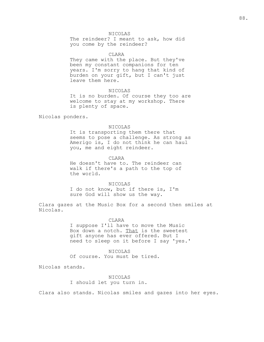### NICOLAS

The reindeer? I meant to ask, how did you come by the reindeer?

#### CLARA

They came with the place. But they've been my constant companions for ten years. I'm sorry to hang that kind of burden on your gift, but I can't just leave them here.

### NICOLAS

It is no burden. Of course they too are welcome to stay at my workshop. There is plenty of space.

Nicolas ponders.

### NICOLAS

It is transporting them there that seems to pose a challenge. As strong as Amerigo is, I do not think he can haul you, me and eight reindeer.

CLARA

He doesn't have to. The reindeer can walk if there's a path to the top of the world.

NICOLAS

I do not know, but if there is, I'm sure God will show us the way.

Clara gazes at the Music Box for a second then smiles at Nicolas.

#### CLARA

I suppose I'll have to move the Music Box down a notch. That is the sweetest gift anyone has ever offered. But I need to sleep on it before I say 'yes.'

### NICOLAS

Of course. You must be tired.

Nicolas stands.

NICOLAS I should let you turn in.

Clara also stands. Nicolas smiles and gazes into her eyes.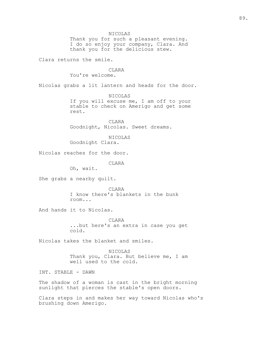NICOLAS Thank you for such a pleasant evening. I do so enjoy your company, Clara. And thank you for the delicious stew. Clara returns the smile. **CLARA** You're welcome. Nicolas grabs a lit lantern and heads for the door. NICOLAS If you will excuse me, I am off to your stable to check on Amerigo and get some rest. CLARA Goodnight, Nicolas. Sweet dreams. NICOLAS Goodnight Clara. Nicolas reaches for the door. CLARA Oh, wait. She grabs a nearby quilt. CLARA I know there's blankets in the bunk room... And hands it to Nicolas. **CLARA** ...but here's an extra in case you get cold. Nicolas takes the blanket and smiles. NICOLAS Thank you, Clara. But believe me, I am well used to the cold. INT. STABLE - DAWN The shadow of a woman is cast in the bright morning sunlight that pierces the stable's open doors.

Clara steps in and makes her way toward Nicolas who's brushing down Amerigo.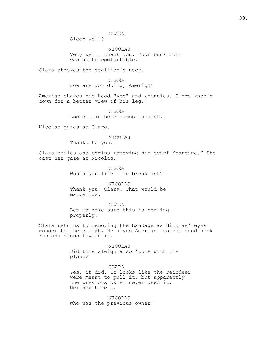Sleep well?

NICOLAS Very well, thank you. Your bunk room was quite comfortable.

Clara strokes the stallion's neck.

CLARA How are you doing, Amerigo?

Amerigo shakes his head "yes" and whinnies. Clara kneels down for a better view of his leg.

> CLARA Looks like he's almost healed.

Nicolas gazes at Clara.

### NICOLAS

Thanks to you.

Clara smiles and begins removing his scarf "bandage." She cast her gaze at Nicolas.

> CLARA Would you like some breakfast?

NICOLAS Thank you, Clara. That would be marvelous.

CLARA Let me make sure this is healing properly.

Clara returns to removing the bandage as Nicolas' eyes wonder to the sleigh. He gives Amerigo another good neck rub and steps toward it.

#### NICOLAS

Did this sleigh also 'come with the place?'

CLARA Yes, it did. It looks like the reindeer were meant to pull it, but apparently the previous owner never used it. Neither have I.

NICOLAS Who was the previous owner?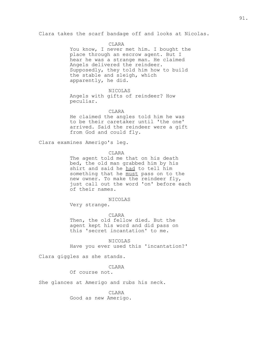Clara takes the scarf bandage off and looks at Nicolas.

#### CLARA

You know, I never met him. I bought the place through an escrow agent. But I hear he was a strange man. He claimed Angels delivered the reindeer. Supposedly, they told him how to build the stable and sleigh, which apparently, he did.

#### NICOLAS

Angels with gifts of reindeer? How peculiar.

### CLARA

He claimed the angles told him he was to be their caretaker until 'the one' arrived. Said the reindeer were a gift from God and could fly.

Clara examines Amerigo's leg.

#### CLARA

The agent told me that on his death bed, the old man grabbed him by his shirt and said he had to tell him something that he must pass on to the new owner. To make the reindeer fly, just call out the word 'on' before each of their names.

### NICOLAS

Very strange.

#### CLARA

Then, the old fellow died. But the agent kept his word and did pass on this 'secret incantation' to me.

NICOLAS Have you ever used this 'incantation?'

Clara giggles as she stands.

### **CLARA**

Of course not.

She glances at Amerigo and rubs his neck.

CLARA Good as new Amerigo.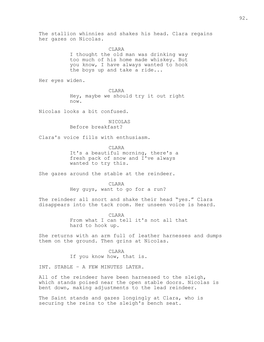The stallion whinnies and shakes his head. Clara regains her gazes on Nicolas.

**CLARA** 

I thought the old man was drinking way too much of his home made whiskey. But you know, I have always wanted to hook the boys up and take a ride...

Her eyes widen.

CLARA

Hey, maybe we should try it out right now.

Nicolas looks a bit confused.

NICOLAS Before breakfast?

Clara's voice fills with enthusiasm.

CLARA

It's a beautiful morning, there's a fresh pack of snow and I've always wanted to try this.

She gazes around the stable at the reindeer.

**CLARA** Hey guys, want to go for a run?

The reindeer all snort and shake their head "yes." Clara disappears into the tack room. Her unseen voice is heard.

> CLARA From what I can tell it's not all that hard to hook up.

She returns with an arm full of leather harnesses and dumps them on the ground. Then grins at Nicolas.

> CLARA If you know how, that is.

INT. STABLE – A FEW MINUTES LATER.

All of the reindeer have been harnessed to the sleigh, which stands poised near the open stable doors. Nicolas is bent down, making adjustments to the lead reindeer.

The Saint stands and gazes longingly at Clara, who is securing the reins to the sleigh's bench seat.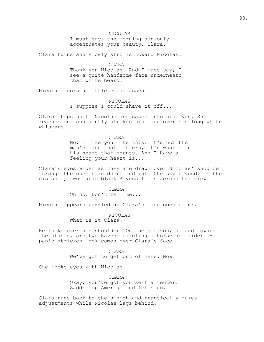NICOLAS

I must say, the morning sun only accentuates your beauty, Clara.

Clara turns and slowly strolls toward Nicolas.

CLARA Thank you Nicolas. And I must say, I see a quite handsome face underneath that white beard.

Nicolas looks a little embarrassed.

NICOLAS I suppose I could shave it off...

Clara steps up to Nicolas and gazes into his eyes. She reaches out and gently strokes his face over his long white whiskers.

> CLARA No, I like you like this. It's not the man's face that matters, it's what's in his heart that counts. And I have a feeling your heart is...

Clara's eyes widen as they are drawn over Nicolas' shoulder through the open barn doors and into the sky beyond. In the distance, two large black Ravens flies across her view.

> CLARA Oh no. Don't tell me...

Nicolas appears puzzled as Clara's face goes blank.

NICOLAS What is it Clara?

He looks over his shoulder. On the horizon, headed toward the stable, are two Ravens circling a horse and rider. A panic-stricken look comes over Clara's face.

> CLARA We've got to get out of here. Now!

She locks eyes with Nicolas.

CLARA Okay, you've got yourself a renter. Saddle up Amerigo and let's go.

Clara runs back to the sleigh and frantically makes adjustments while Nicolas lags behind.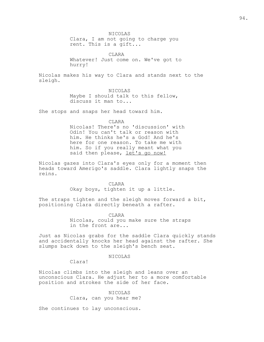NICOLAS Clara, I am not going to charge you rent. This is a gift...

CLARA Whatever! Just come on. We've got to hurry!

Nicolas makes his way to Clara and stands next to the sleigh.

NICOLAS

Maybe I should talk to this fellow, discuss it man to...

She stops and snaps her head toward him.

CLARA Nicolas! There's no 'discussion' with Odin! You can't talk or reason with him. He thinks he's a God! And he's here for one reason. To take me with him. So if you really meant what you said then please, let's go now!

Nicolas gazes into Clara's eyes only for a moment then heads toward Amerigo's saddle. Clara lightly snaps the reins.

> **CLARA** Okay boys, tighten it up a little.

The straps tighten and the sleigh moves forward a bit, positioning Clara directly beneath a rafter.

> CLARA Nicolas, could you make sure the straps in the front are...

Just as Nicolas grabs for the saddle Clara quickly stands and accidentally knocks her head against the rafter. She slumps back down to the sleigh's bench seat.

NICOLAS

Clara!

Nicolas climbs into the sleigh and leans over an unconscious Clara. He adjust her to a more comfortable position and strokes the side of her face.

> NICOLAS Clara, can you hear me?

She continues to lay unconscious.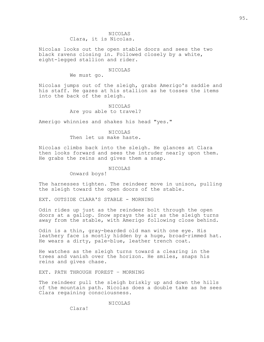### NICOLAS Clara, it is Nicolas.

Nicolas looks out the open stable doors and sees the two black ravens closing in. Followed closely by a white, eight-legged stallion and rider.

### NICOLAS

We must go.

Nicolas jumps out of the sleigh, grabs Amerigo's saddle and his staff. He gazes at his stallion as he tosses the items into the back of the sleigh.

> NICOLAS Are you able to travel?

Amerigo whinnies and shakes his head "yes."

### NICOLAS Then let us make haste.

Nicolas climbs back into the sleigh. He glances at Clara then looks forward and sees the intruder nearly upon them. He grabs the reins and gives them a snap.

#### NICOLAS

Onward boys!

The harnesses tighten. The reindeer move in unison, pulling the sleigh toward the open doors of the stable.

EXT. OUTSIDE CLARA'S STABLE - MORNING

Odin rides up just as the reindeer bolt through the open doors at a gallop. Snow sprays the air as the sleigh turns away from the stable, with Amerigo following close behind.

Odin is a thin, gray-bearded old man with one eye. His leathery face is mostly hidden by a huge, broad-rimmed hat. He wears a dirty, pale-blue, leather trench coat.

He watches as the sleigh turns toward a clearing in the trees and vanish over the horizon. He smiles, snaps his reins and gives chase.

EXT. PATH THROUGH FOREST – MORNING

The reindeer pull the sleigh briskly up and down the hills of the mountain path. Nicolas does a double take as he sees Clara regaining consciousness.

NICOLAS

Clara!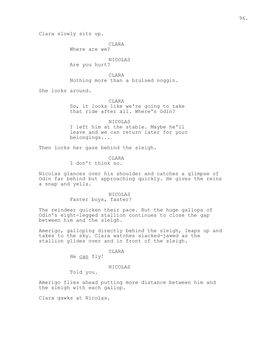Clara slowly sits up.

CLARA

Where are we?

# NICOLAS

Are you hurt?

CLARA Nothing more than a bruised noggin.

She looks around.

CLARA So, it looks like we're going to take that ride after all. Where's Odin?

NICOLAS I left him at the stable. Maybe he'll leave and we can return later for your belongings...

Then locks her gaze behind the sleigh.

CLARA I don't think so.

Nicolas glances over his shoulder and catches a glimpse of Odin far behind but approaching quickly. He gives the reins a snap and yells.

> NICOLAS Faster boys, faster!

The reindeer quicken their pace. But the huge gallops of Odin's eight-legged stallion continues to close the gap between him and the sleigh.

Amerigo, galloping directly behind the sleigh, leaps up and takes to the sky. Clara watches slacked-jawed as the stallion glides over and in front of the sleigh.

CLARA

He can fly!

### NICOLAS

Told you.

Amerigo flies ahead putting more distance between him and the sleigh with each gallop.

Clara gawks at Nicolas.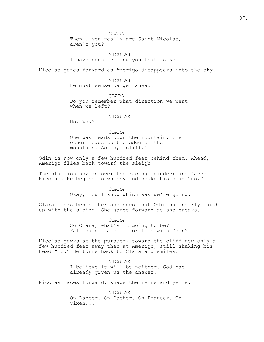Then...you really are Saint Nicolas, aren't you?

NICOLAS I have been telling you that as well.

Nicolas gazes forward as Amerigo disappears into the sky.

NICOLAS He must sense danger ahead.

CLARA Do you remember what direction we went when we left?

### NICOLAS

No. Why?

CLARA One way leads down the mountain, the other leads to the edge of the mountain. As in, 'cliff.'

Odin is now only a few hundred feet behind them. Ahead, Amerigo flies back toward the sleigh.

The stallion hovers over the racing reindeer and faces Nicolas. He begins to whinny and shake his head "no."

CLARA

Okay, now I know which way we're going.

Clara looks behind her and sees that Odin has nearly caught up with the sleigh. She gazes forward as she speaks.

CLARA

So Clara, what's it going to be? Falling off a cliff or life with Odin?

Nicolas gawks at the pursuer, toward the cliff now only a few hundred feet away then at Amerigo, still shaking his head "no." He turns back to Clara and smiles.

> NICOLAS I believe it will be neither. God has already given us the answer.

Nicolas faces forward, snaps the reins and yells.

NICOLAS On Dancer. On Dasher. On Prancer. On Vixen...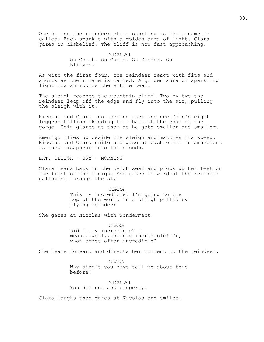One by one the reindeer start snorting as their name is called. Each sparkle with a golden aura of light. Clara gazes in disbelief. The cliff is now fast approaching.

> NICOLAS On Comet. On Cupid. On Donder. On Blitzen.

As with the first four, the reindeer react with fits and snorts as their name is called. A golden aura of sparkling light now surrounds the entire team.

The sleigh reaches the mountain cliff. Two by two the reindeer leap off the edge and fly into the air, pulling the sleigh with it.

Nicolas and Clara look behind them and see Odin's eight legged-stallion skidding to a halt at the edge of the gorge. Odin glares at them as he gets smaller and smaller.

Amerigo flies up beside the sleigh and matches its speed. Nicolas and Clara smile and gaze at each other in amazement as they disappear into the clouds.

EXT. SLEIGH - SKY – MORNING

Clara leans back in the bench seat and props up her feet on the front of the sleigh. She gazes forward at the reindeer galloping through the sky.

> CLARA This is incredible! I'm going to the top of the world in a sleigh pulled by flying reindeer.

She gazes at Nicolas with wonderment.

CLARA Did I say incredible? I mean...well...double incredible! Or, what comes after incredible?

She leans forward and directs her comment to the reindeer.

CLARA Why didn't you guys tell me about this before?

NICOLAS You did not ask properly.

Clara laughs then gazes at Nicolas and smiles.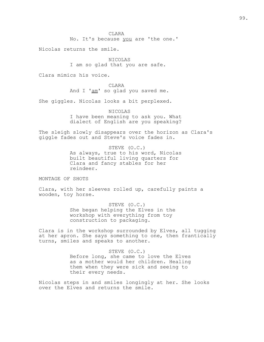No. It's because you are 'the one.'

Nicolas returns the smile.

NICOLAS I am so glad that you are safe.

Clara mimics his voice.

CLARA And I 'am' so glad you saved me.

She giggles. Nicolas looks a bit perplexed.

NICOLAS I have been meaning to ask you. What dialect of English are you speaking?

The sleigh slowly disappears over the horizon as Clara's giggle fades out and Steve's voice fades in.

> STEVE (O.C.) As always, true to his word, Nicolas built beautiful living quarters for Clara and fancy stables for her reindeer.

MONTAGE OF SHOTS

Clara, with her sleeves rolled up, carefully paints a wooden, toy horse.

> STEVE (O.C.) She began helping the Elves in the workshop with everything from toy construction to packaging.

Clara is in the workshop surrounded by Elves, all tugging at her apron. She says something to one, then frantically turns, smiles and speaks to another.

> STEVE (O.C.) Before long, she came to love the Elves as a mother would her children. Healing them when they were sick and seeing to their every needs.

Nicolas steps in and smiles longingly at her. She looks over the Elves and returns the smile.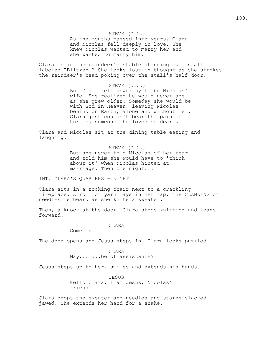STEVE (O.C.) As the months passed into years, Clara and Nicolas fell deeply in love. She knew Nicolas wanted to marry her and she wanted to marry him.

Clara is in the reindeer's stable standing by a stall labeled "Blitzen." She looks lost in thought as she strokes the reindeer's head poking over the stall's half-door.

#### STEVE (O.C.)

But Clara felt unworthy to be Nicolas' wife. She realized he would never age as she grew older. Someday she would be with God in Heaven, leaving Nicolas behind on Earth, alone and without her. Clara just couldn't bear the pain of hurting someone she loved so dearly.

Clara and Nicolas sit at the dining table eating and laughing.

> STEVE (O.C.) But she never told Nicolas of her fear and told him she would have to 'think about it' when Nicolas hinted at marriage. Then one night...

INT. CLARA'S QUARTERS – NIGHT

Clara sits in a rocking chair next to a crackling fireplace. A roll of yarn lays in her lap. The CLANKING of needles is heard as she knits a sweater.

Then, a knock at the door. Clara stops knitting and leans forward.

### CLARA

Come in.

The door opens and Jesus steps in. Clara looks puzzled.

CLARA May...I...be of assistance?

Jesus steps up to her, smiles and extends his hands.

JESUS Hello Clara. I am Jesus, Nicolas' friend.

Clara drops the sweater and needles and stares slacked jawed. She extends her hand for a shake.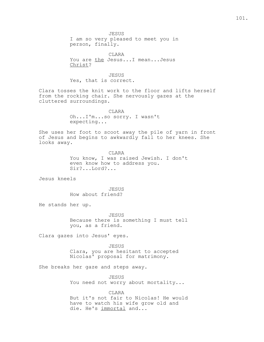JESUS I am so very pleased to meet you in person, finally.

CLARA You are the Jesus...I mean...Jesus Christ?

JESUS Yes, that is correct.

Clara tosses the knit work to the floor and lifts herself from the rocking chair. She nervously gazes at the cluttered surroundings.

> CLARA Oh...I'm...so sorry. I wasn't expecting...

She uses her foot to scoot away the pile of yarn in front of Jesus and begins to awkwardly fall to her knees. She looks away.

> CLARA You know, I was raised Jewish. I don't even know how to address you. Sir?...Lord?...

Jesus kneels

JESUS How about friend?

He stands her up.

JESUS Because there is something I must tell you, as a friend.

Clara gazes into Jesus' eyes.

JESUS Clara, you are hesitant to accepted Nicolas' proposal for matrimony.

She breaks her gaze and steps away.

JESUS You need not worry about mortality...

CLARA But it's not fair to Nicolas! He would have to watch his wife grow old and die. He's immortal and...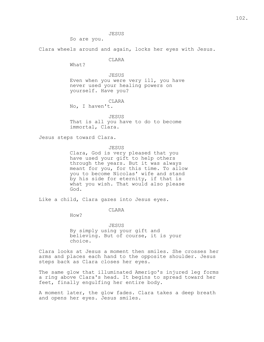JESUS

So are you.

Clara wheels around and again, locks her eyes with Jesus.

CLARA

What?

JESUS Even when you were very ill, you have never used your healing powers on yourself. Have you?

CLARA

No, I haven't.

JESUS That is all you have to do to become immortal, Clara.

Jesus steps toward Clara.

JESUS

Clara, God is very pleased that you have used your gift to help others through the years. But it was always meant for you, for this time. To allow you to become Nicolas' wife and stand by his side for eternity, if that is what you wish. That would also please God.

Like a child, Clara gazes into Jesus eyes.

CLARA

How?

JESUS By simply using your gift and believing. But of course, it is your choice.

Clara looks at Jesus a moment then smiles. She crosses her arms and places each hand to the opposite shoulder. Jesus steps back as Clara closes her eyes.

The same glow that illuminated Amerigo's injured leg forms a ring above Clara's head. It begins to spread toward her feet, finally engulfing her entire body.

A moment later, the glow fades. Clara takes a deep breath and opens her eyes. Jesus smiles.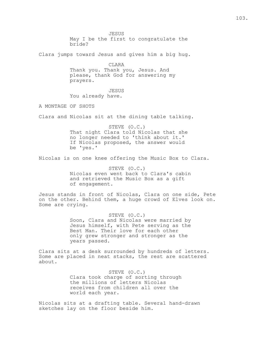JESUS May I be the first to congratulate the bride?

Clara jumps toward Jesus and gives him a big hug.

CLARA Thank you. Thank you, Jesus. And please, thank God for answering my

prayers.

JESUS

You already have.

A MONTAGE OF SHOTS

Clara and Nicolas sit at the dining table talking.

STEVE (O.C.) That night Clara told Nicolas that she no longer needed to 'think about it.' If Nicolas proposed, the answer would be 'yes.'

Nicolas is on one knee offering the Music Box to Clara.

STEVE (O.C.) Nicolas even went back to Clara's cabin and retrieved the Music Box as a gift of engagement.

Jesus stands in front of Nicolas, Clara on one side, Pete on the other. Behind them, a huge crowd of Elves look on. Some are crying.

> STEVE (O.C.) Soon, Clara and Nicolas were married by Jesus himself, with Pete serving as the Best Man. Their love for each other only grew stronger and stronger as the years passed.

Clara sits at a desk surrounded by hundreds of letters. Some are placed in neat stacks, the rest are scattered about.

> STEVE (O.C.) Clara took charge of sorting through the millions of letters Nicolas receives from children all over the world each year.

Nicolas sits at a drafting table. Several hand-drawn sketches lay on the floor beside him.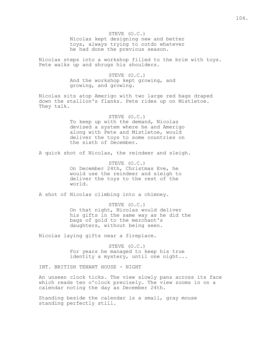STEVE (O.C.) Nicolas kept designing new and better toys, always trying to outdo whatever he had done the previous season.

Nicolas steps into a workshop filled to the brim with toys. Pete walks up and shrugs his shoulders.

> STEVE (O.C.) And the workshop kept growing, and growing, and growing.

Nicolas sits atop Amerigo with two large red bags draped down the stallion's flanks. Pete rides up on Mistletoe. They talk.

> STEVE (O.C.) To keep up with the demand, Nicolas devised a system where he and Amerigo along with Pete and Mistletoe, would deliver the toys to some countries on the sixth of December.

A quick shot of Nicolas, the reindeer and sleigh.

STEVE (O.C.) On December 24th, Christmas Eve, he would use the reindeer and sleigh to deliver the toys to the rest of the world.

A shot of Nicolas climbing into a chimney.

STEVE (O.C.) On that night, Nicolas would deliver his gifts in the same way as he did the bags of gold to the merchant's daughters, without being seen.

Nicolas laying gifts near a fireplace.

STEVE (O.C.) For years he managed to keep his true identity a mystery, until one night...

INT. BRITISH TENANT HOUSE - NIGHT

An unseen clock ticks. The view slowly pans across its face which reads ten o'clock precisely. The view zooms in on a calendar noting the day as December 24th.

Standing beside the calendar is a small, gray mouse standing perfectly still.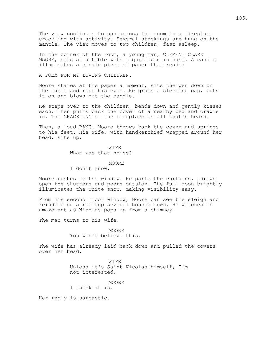The view continues to pan across the room to a fireplace crackling with activity. Several stockings are hung on the mantle. The view moves to two children, fast asleep.

In the corner of the room, a young man, CLEMENT CLARK MOORE, sits at a table with a quill pen in hand. A candle illuminates a single piece of paper that reads:

A POEM FOR MY LOVING CHILDREN.

Moore stares at the paper a moment, sits the pen down on the table and rubs his eyes. He grabs a sleeping cap, puts it on and blows out the candle.

He steps over to the children, bends down and gently kisses each. Then pulls back the cover of a nearby bed and crawls in. The CRACKLING of the fireplace is all that's heard.

Then, a loud BANG. Moore throws back the cover and springs to his feet. His wife, with handkerchief wrapped around her head, sits up.

WIFE

What was that noise?

MOORE

I don't know.

Moore rushes to the window. He parts the curtains, throws open the shutters and peers outside. The full moon brightly illuminates the white snow, making visibility easy.

From his second floor window, Moore can see the sleigh and reindeer on a rooftop several houses down. He watches in amazement as Nicolas pops up from a chimney.

The man turns to his wife.

**MOORE** You won't believe this.

The wife has already laid back down and pulled the covers over her head.

> WIFE Unless it's Saint Nicolas himself, I'm not interested.

MOORE I think it is.

Her reply is sarcastic.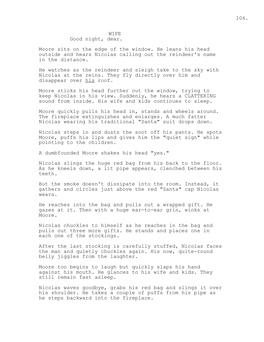### WIFE Good night, dear.

Moore sits on the edge of the window. He leans his head outside and hears Nicolas calling out the reindeer's name in the distance.

He watches as the reindeer and sleigh take to the sky with Nicolas at the reins. They fly directly over him and disappear over his roof.

Moore sticks his head further out the window, trying to keep Nicolas in his view. Suddenly, he hears a CLATTERING sound from inside. His wife and kids continues to sleep.

Moore quickly pulls his head in, stands and wheels around. The fireplace extinguishes and enlarges. A much fatter Nicolas wearing his traditional "Santa" suit drops down.

Nicolas steps in and dusts the soot off his pants. He spots Moore, puffs his lips and gives him the "quiet sign" while pointing to the children.

A dumbfounded Moore shakes his head "yes."

Nicolas slings the huge red bag from his back to the floor. As he kneels down, a lit pipe appears, clenched between his teeth.

But the smoke doesn't dissipate into the room. Instead, it gathers and circles just above the red "Santa" cap Nicolas wears.

He reaches into the bag and pulls out a wrapped gift. He gazes at it. Then with a huge ear-to-ear grin, winks at Moore.

Nicolas chuckles to himself as he reaches in the bag and pulls out three more gifts. He stands and places one in each one of the stockings.

After the last stocking is carefully stuffed, Nicolas faces the man and quietly chuckles again. His now, quite-round belly jiggles from the laughter.

Moore too begins to laugh but quickly slaps his hand against his mouth. He glances to his wife and kids. They still remain fast asleep.

Nicolas waves goodbye, grabs his red bag and slings it over his shoulder. He takes a couple of puffs from his pipe as he steps backward into the fireplace.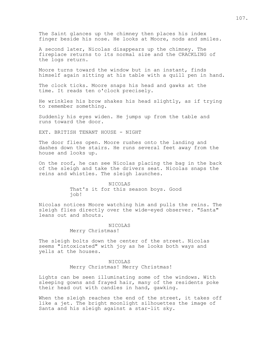The Saint glances up the chimney then places his index finger beside his nose. He looks at Moore, nods and smiles.

A second later, Nicolas disappears up the chimney. The fireplace returns to its normal size and the CRACKLING of the logs return.

Moore turns toward the window but in an instant, finds himself again sitting at his table with a quill pen in hand.

The clock ticks. Moore snaps his head and gawks at the time. It reads ten o'clock precisely.

He wrinkles his brow shakes his head slightly, as if trying to remember something.

Suddenly his eyes widen. He jumps up from the table and runs toward the door.

EXT. BRITISH TENANT HOUSE - NIGHT

The door flies open. Moore rushes onto the landing and dashes down the stairs. He runs several feet away from the house and looks up.

On the roof, he can see Nicolas placing the bag in the back of the sleigh and take the drivers seat. Nicolas snaps the reins and whistles. The sleigh launches.

> NICOLAS That's it for this season boys. Good job!

Nicolas notices Moore watching him and pulls the reins. The sleigh flies directly over the wide-eyed observer. "Santa" leans out and shouts.

#### NICOLAS

Merry Christmas!

The sleigh bolts down the center of the street. Nicolas seems "intoxicated" with joy as he looks both ways and yells at the houses.

#### NICOLAS

Merry Christmas! Merry Christmas!

Lights can be seen illuminating some of the windows. With sleeping gowns and frayed hair, many of the residents poke their head out with candles in hand, gawking.

When the sleigh reaches the end of the street, it takes off like a jet. The bright moonlight silhouettes the image of Santa and his sleigh against a star-lit sky.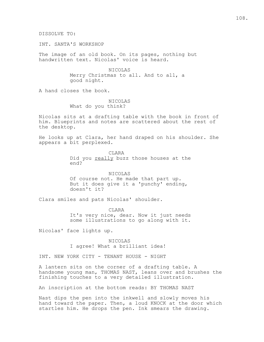DISSOLVE TO:

INT. SANTA'S WORKSHOP

The image of an old book. On its pages, nothing but handwritten text. Nicolas' voice is heard.

> NICOLAS Merry Christmas to all. And to all, a good night.

A hand closes the book.

NICOLAS What do you think?

Nicolas sits at a drafting table with the book in front of him. Blueprints and notes are scattered about the rest of the desktop.

He looks up at Clara, her hand draped on his shoulder. She appears a bit perplexed.

> **CLARA** Did you really buzz those houses at the end?

NICOLAS Of course not. He made that part up. But it does give it a 'punchy' ending, doesn't it?

Clara smiles and pats Nicolas' shoulder.

CLARA It's very nice, dear. Now it just needs some illustrations to go along with it.

Nicolas' face lights up.

NICOLAS I agree! What a brilliant idea!

INT. NEW YORK CITY - TENANT HOUSE - NIGHT

A lantern sits on the corner of a drafting table. A handsome young man, THOMAS NAST, leans over and brushes the finishing touches to a very detailed illustration.

An inscription at the bottom reads: BY THOMAS NAST

Nast dips the pen into the inkwell and slowly moves his hand toward the paper. Then, a loud KNOCK at the door which startles him. He drops the pen. Ink smears the drawing.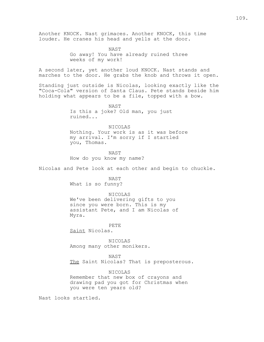Another KNOCK. Nast grimaces. Another KNOCK, this time louder. He cranes his head and yells at the door.

> NAST Go away! You have already ruined three weeks of my work!

A second later, yet another loud KNOCK. Nast stands and marches to the door. He grabs the knob and throws it open.

Standing just outside is Nicolas, looking exactly like the "Coca-Cola" version of Santa Claus. Pete stands beside him holding what appears to be a file, topped with a bow.

> NAST Is this a joke? Old man, you just ruined...

NICOLAS Nothing. Your work is as it was before my arrival. I'm sorry if I startled you, Thomas.

NAST How do you know my name?

Nicolas and Pete look at each other and begin to chuckle.

NAST What is so funny?

NICOLAS We've been delivering gifts to you since you were born. This is my assistant Pete, and I am Nicolas of Myra.

# PETE

Saint Nicolas.

NICOLAS Among many other monikers.

# NAST

The Saint Nicolas? That is preposterous.

NICOLAS

Remember that new box of crayons and drawing pad you got for Christmas when you were ten years old?

Nast looks startled.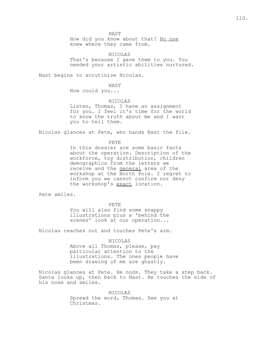NAST

How did you know about that? No one knew where they came from.

NICOLAS That's because I gave them to you. You needed your artistic abilities nurtured.

Nast begins to scrutinize Nicolas.

NAST

How could you...

NICOLAS

Listen, Thomas, I have an assignment for you. I feel it's time for the world to know the truth about me and I want you to tell them.

Nicolas glances at Pete, who hands Nast the file.

PETE

In this dossier are some basic facts about the operation. Description of the workforce, toy distribution, children demographics from the letters we receive and the general area of the workshop at the North Pole. I regret to inform you we cannot confirm nor deny the workshop's exact location.

Pete smiles.

PETE

You will also find some snappy illustrations plus a 'behind the scenes' look at our operation...

Nicolas reaches out and touches Pete's arm.

NICOLAS

Above all Thomas, please, pay particular attention to the illustrations. The ones people have been drawing of me are ghastly.

Nicolas glances at Pete. He nods. They take a step back. Santa looks up, then back to Nast. He touches the side of his nose and smiles.

> NICOLAS Spread the word, Thomas. See you at Christmas.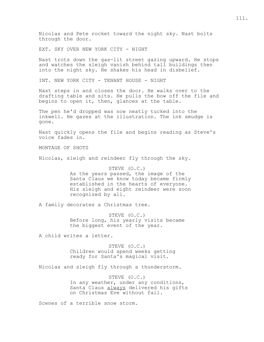Nicolas and Pete rocket toward the night sky. Nast bolts through the door.

EXT. SKY OVER NEW YORK CITY - NIGHT

Nast trots down the gas-lit street gazing upward. He stops and watches the sleigh vanish behind tall buildings then into the night sky. He shakes his head in disbelief.

INT. NEW YORK CITY - TENANT HOUSE - NIGHT

Nast steps in and closes the door. He walks over to the drafting table and sits. He pulls the bow off the file and begins to open it, then, glances at the table.

The pen he'd dropped was now neatly tucked into the inkwell. He gazes at the illustration. The ink smudge is gone.

Nast quickly opens the file and begins reading as Steve's voice fades in.

MONTAGE OF SHOTS

Nicolas, sleigh and reindeer fly through the sky.

STEVE (O.C.) As the years passed, the image of the Santa Claus we know today became firmly established in the hearts of everyone. His sleigh and eight reindeer were soon recognized by all.

A family decorates a Christmas tree.

STEVE (O.C.) Before long, his yearly visits became the biggest event of the year.

A child writes a letter.

STEVE (O.C.) Children would spend weeks getting ready for Santa's magical visit.

Nicolas and sleigh fly through a thunderstorm.

STEVE (O.C.) In any weather, under any conditions, Santa Claus always delivered his gifts on Christmas Eve without fail.

Scenes of a terrible snow storm.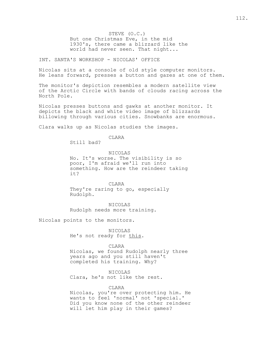STEVE (O.C.) But one Christmas Eve, in the mid 1930's, there came a blizzard like the world had never seen. That night...

INT. SANTA'S WORKSHOP - NICOLAS' OFFICE

Nicolas sits at a console of old style computer monitors. He leans forward, presses a button and gazes at one of them.

The monitor's depiction resembles a modern satellite view of the Arctic Circle with bands of clouds racing across the North Pole.

Nicolas presses buttons and gawks at another monitor. It depicts the black and white video image of blizzards billowing through various cities. Snowbanks are enormous.

Clara walks up as Nicolas studies the images.

CLARA

Still bad?

NICOLAS

No. It's worse. The visibility is so poor, I'm afraid we'll run into something. How are the reindeer taking it?

CLARA They're raring to go, especially Rudolph.

NICOLAS Rudolph needs more training.

Nicolas points to the monitors.

NICOLAS He's not ready for this.

CLARA

Nicolas, we found Rudolph nearly three years ago and you still haven't completed his training. Why?

NICOLAS Clara, he's not like the rest.

CLARA

Nicolas, you're over protecting him. He wants to feel 'normal' not 'special.' Did you know none of the other reindeer will let him play in their games?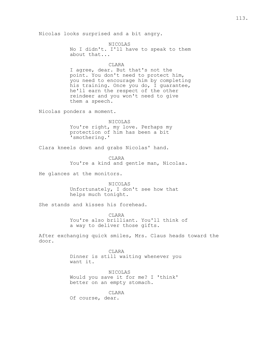Nicolas looks surprised and a bit angry.

NICOLAS No I didn't. I'll have to speak to them about that...

CLARA

I agree, dear. But that's not the point. You don't need to protect him, you need to encourage him by completing his training. Once you do, I guarantee, he'll earn the respect of the other reindeer and you won't need to give them a speech.

Nicolas ponders a moment.

NICOLAS You're right, my love. Perhaps my protection of him has been a bit 'smothering.'

Clara kneels down and grabs Nicolas' hand.

CLARA You're a kind and gentle man, Nicolas.

He glances at the monitors.

NICOLAS Unfortunately, I don't see how that helps much tonight.

She stands and kisses his forehead.

CLARA You're also brilliant. You'll think of a way to deliver those gifts.

After exchanging quick smiles, Mrs. Claus heads toward the door.

> CLARA Dinner is still waiting whenever you want it.

NICOLAS Would you save it for me? I 'think' better on an empty stomach.

CLARA Of course, dear.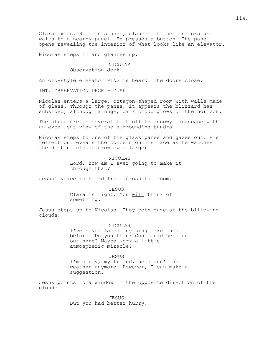Clara exits. Nicolas stands, glances at the monitors and walks to a nearby panel. He presses a button. The panel opens revealing the interior of what looks like an elevator.

Nicolas steps in and glances up.

NICOLAS Observation deck.

An old-style elevator PING is heard. The doors close.

INT. OBSERVATION DECK - DUSK

Nicolas enters a large, octagon-shaped room with walls made of glass. Through the panes, it appears the blizzard has subsided, although a huge, dark cloud grows on the horizon.

The structure is several feet off the snowy landscape with an excellent view of the surrounding tundra.

Nicolas steps to one of the glass panes and gazes out. His reflection reveals the concern on his face as he watches the distant clouds grow ever larger.

> NICOLAS Lord, how am I ever going to make it through that?

Jesus' voice is heard from across the room.

JESUS

Clara is right. You will think of something.

Jesus steps up to Nicolas. They both gaze at the billowing clouds.

NICOLAS

I've never faced anything like this before. Do you think God could help us out here? Maybe work a little atmospheric miracle?

JESUS

I'm sorry, my friend, he doesn't do weather anymore. However, I can make a suggestion.

Jesus points to a window in the opposite direction of the clouds.

> JESUS But you had better hurry.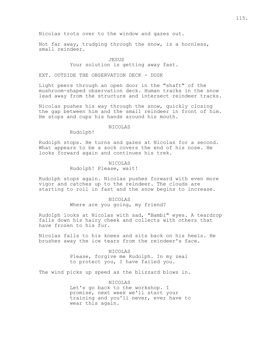Nicolas trots over to the window and gazes out.

Not far away, trudging through the snow, is a hornless, small reindeer.

#### **JESUS**

# Your solution is getting away fast.

EXT. OUTSIDE THE OBSERVATION DECK - DUSK

Light peers through an open door in the "shaft" of the mushroom-shaped observation deck. Human tracks in the snow lead away from the structure and intersect reindeer tracks.

Nicolas pushes his way through the snow, quickly closing the gap between him and the small reindeer in front of him. He stops and cups his hands around his mouth.

# NICOLAS

Rudolph!

Rudolph stops. He turns and gazes at Nicolas for a second. What appears to be a sock covers the end of his nose. He looks forward again and continues his trek.

> NICOLAS Rudolph! Please, wait!

Rudolph stops again. Nicolas pushes forward with even more vigor and catches up to the reindeer. The clouds are starting to roll in fast and the snow begins to increase.

### NICOLAS Where are you going, my friend?

Rudolph looks at Nicolas with sad, "Bambi" eyes. A teardrop falls down his hairy cheek and collects with others that have frozen to his fur.

Nicolas falls to his knees and sits back on his heels. He brushes away the ice tears from the reindeer's face.

> NICOLAS Please, forgive me Rudolph. In my zeal to protect you, I have failed you.

The wind picks up speed as the blizzard blows in.

NICOLAS Let's go back to the workshop. I promise, next week we'll start your training and you'll never, ever have to wear this again.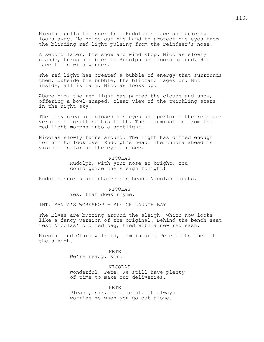Nicolas pulls the sock from Rudolph's face and quickly looks away. He holds out his hand to protect his eyes from the blinding red light pulsing from the reindeer's nose.

A second later, the snow and wind stop. Nicolas slowly stands, turns his back to Rudolph and looks around. His face fills with wonder.

The red light has created a bubble of energy that surrounds them. Outside the bubble, the blizzard rages on. But inside, all is calm. Nicolas looks up.

Above him, the red light has parted the clouds and snow, offering a bowl-shaped, clear view of the twinkling stars in the night sky.

The tiny creature closes his eyes and performs the reindeer version of gritting his teeth. The illumination from the red light morphs into a spotlight.

Nicolas slowly turns around. The light has dimmed enough for him to look over Rudolph's head. The tundra ahead is visible as far as the eye can see.

> NICOLAS Rudolph, with your nose so bright. You could guide the sleigh tonight!

Rudolph snorts and shakes his head. Nicolas laughs.

NICOLAS Yes, that does rhyme.

INT. SANTA'S WORKSHOP - SLEIGH LAUNCH BAY

The Elves are buzzing around the sleigh, which now looks like a fancy version of the original. Behind the bench seat rest Nicolas' old red bag, tied with a new red sash.

Nicolas and Clara walk in, arm in arm. Pete meets them at the sleigh.

> PETE We're ready, sir.

NICOLAS Wonderful, Pete. We still have plenty of time to make our deliveries.

PETE Please, sir, be careful. It always worries me when you go out alone.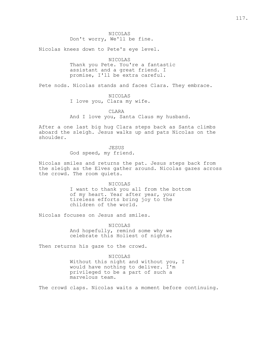NICOLAS Don't worry, We'll be fine.

Nicolas knees down to Pete's eye level.

NICOLAS Thank you Pete. You're a fantastic assistant and a great friend. I promise, I'll be extra careful.

Pete nods. Nicolas stands and faces Clara. They embrace.

NICOLAS

I love you, Clara my wife.

CLARA

And I love you, Santa Claus my husband.

After a one last big hug Clara steps back as Santa climbs aboard the sleigh. Jesus walks up and pats Nicolas on the shoulder.

JESUS

God speed, my friend.

Nicolas smiles and returns the pat. Jesus steps back from the sleigh as the Elves gather around. Nicolas gazes across the crowd. The room quiets.

NICOLAS

I want to thank you all from the bottom of my heart. Year after year, your tireless efforts bring joy to the children of the world.

Nicolas focuses on Jesus and smiles.

NICOLAS And hopefully, remind some why we celebrate this Holiest of nights.

Then returns his gaze to the crowd.

NICOLAS

Without this night and without you, I would have nothing to deliver. I'm privileged to be a part of such a marvelous team.

The crowd claps. Nicolas waits a moment before continuing.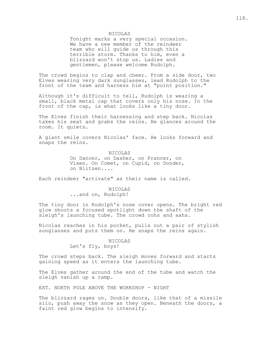#### NICOLAS

Tonight marks a very special occasion. We have a new member of the reindeer team who will guide us through this terrible storm. Thanks to him, even a blizzard won't stop us. Ladies and gentlemen, please welcome Rudolph.

The crowd begins to clap and cheer. From a side door, two Elves wearing very dark sunglasses, lead Rudolph to the front of the team and harness him at "point position."

Although it's difficult to tell, Rudolph is wearing a small, black metal cap that covers only his nose. In the front of the cap, is what looks like a tiny door.

The Elves finish their harnessing and step back. Nicolas takes his seat and grabs the reins. He glances around the room. It quiets.

A giant smile covers Nicolas' face. He looks forward and snaps the reins.

> NICOLAS On Dancer, on Dasher, on Prancer, on Vixen. On Comet, on Cupid, on Donder, on Blitzen....

Each reindeer "activate" as their name is called.

### NICOLAS ...and on, Rudolph!

The tiny door in Rudolph's nose cover opens. The bright red glow shoots a focused spotlight down the shaft of the sleigh's launching tube. The crowd oohs and aahs.

Nicolas reaches in his pocket, pulls out a pair of stylish sunglasses and puts them on. He snaps the reins again.

#### NICOLAS

Let's fly, boys!

The crowd steps back. The sleigh moves forward and starts gaining speed as it enters the launching tube.

The Elves gather around the end of the tube and watch the sleigh vanish up a ramp.

EXT. NORTH POLE ABOVE THE WORKSHOP - NIGHT

The blizzard rages on. Double doors, like that of a missile silo, push away the snow as they open. Beneath the doors, a faint red glow begins to intensify.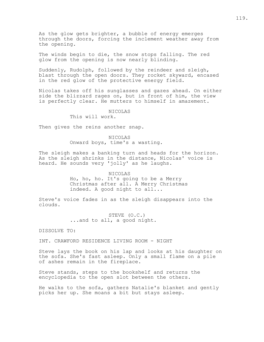As the glow gets brighter, a bubble of energy emerges through the doors, forcing the inclement weather away from the opening.

The winds begin to die, the snow stops falling. The red glow from the opening is now nearly blinding.

Suddenly, Rudolph, followed by the reindeer and sleigh, blast through the open doors. They rocket skyward, encased in the red glow of the protective energy field.

Nicolas takes off his sunglasses and gazes ahead. On either side the blizzard rages on, but in front of him, the view is perfectly clear. He mutters to himself in amazement.

#### NICOLAS

This will work.

Then gives the reins another snap.

## NICOLAS

Onward boys, time's a wasting.

The sleigh makes a banking turn and heads for the horizon. As the sleigh shrinks in the distance, Nicolas' voice is heard. He sounds very 'jolly' as he laughs.

> NICOLAS Ho, ho, ho. It's going to be a Merry Christmas after all. A Merry Christmas indeed. A good night to all...

Steve's voice fades in as the sleigh disappears into the clouds.

> STEVE (O.C.) ...and to all, a good night.

DISSOLVE TO:

INT. CRAWFORD RESIDENCE LIVING ROOM - NIGHT

Steve lays the book on his lap and looks at his daughter on the sofa. She's fast asleep. Only a small flame on a pile of ashes remain in the fireplace.

Steve stands, steps to the bookshelf and returns the encyclopedia to the open slot between the others.

He walks to the sofa, gathers Natalie's blanket and gently picks her up. She moans a bit but stays asleep.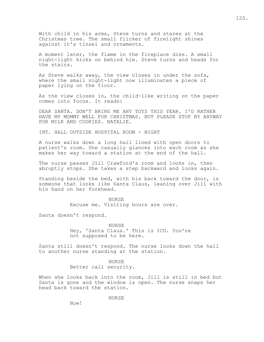With child in his arms, Steve turns and stares at the Christmas tree. The small flicker of firelight shines against it's tinsel and ornaments.

A moment later, the flame in the fireplace dies. A small night-light kicks on behind him. Steve turns and heads for the stairs.

As Steve walks away, the view closes in under the sofa, where the small night-light now illuminates a piece of paper lying on the floor.

As the view closes in, the child-like writing on the paper comes into focus. It reads:

DEAR SANTA. DON'T BRING ME ANY TOYS THIS YEAR. I'D RATHER HAVE MY MOMMY WELL FOR CHRISTMAS. BUT PLEASE STOP BY ANYWAY FOR MILK AND COOKIES. NATALIE.

INT. HALL OUTSIDE HOSPITAL ROOM - NIGHT

A nurse walks down a long hall lined with open doors to patient's room. She casually glances into each room as she makes her way toward a station at the end of the hall.

The nurse passes Jill Crawford's room and looks in, then abruptly stops. She takes a step backward and looks again.

Standing beside the bed, with his back toward the door, is someone that looks like Santa Claus, leaning over Jill with his hand on her forehead.

> NURSE Excuse me. Visiting hours are over.

Santa doesn't respond.

NURSE Hey, 'Santa Claus.' This is ICU. You're not supposed to be here.

Santa still doesn't respond. The nurse looks down the hall to another nurse standing at the station.

> NURSE Better call security.

When she looks back into the room, Jill is still in bed but Santa is gone and the window is open. The nurse snaps her head back toward the station.

NURSE

Now!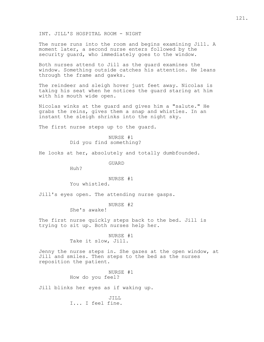INT. JILL'S HOSPITAL ROOM - NIGHT

The nurse runs into the room and begins examining Jill. A moment later, a second nurse enters followed by the security guard, who immediately goes to the window.

Both nurses attend to Jill as the guard examines the window. Something outside catches his attention. He leans through the frame and gawks.

The reindeer and sleigh hover just feet away. Nicolas is taking his seat when he notices the guard staring at him with his mouth wide open.

Nicolas winks at the guard and gives him a "salute." He grabs the reins, gives them a snap and whistles. In an instant the sleigh shrinks into the night sky.

The first nurse steps up to the guard.

NURSE #1 Did you find something?

He looks at her, absolutely and totally dumbfounded.

GUARD

Huh?

### NURSE #1

You whistled.

Jill's eyes open. The attending nurse gasps.

NURSE #2

She's awake!

The first nurse quickly steps back to the bed. Jill is trying to sit up. Both nurses help her.

> NURSE #1 Take it slow, Jill.

Jenny the nurse steps in. She gazes at the open window, at Jill and smiles. Then steps to the bed as the nurses reposition the patient.

> NURSE #1 How do you feel?

Jill blinks her eyes as if waking up.

JILL I... I feel fine.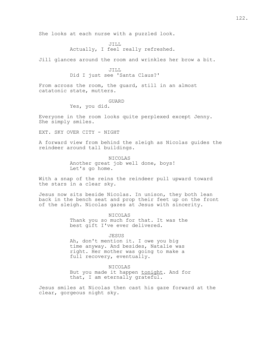She looks at each nurse with a puzzled look.

JILL Actually, I feel really refreshed.

Jill glances around the room and wrinkles her brow a bit.

JILL Did I just see 'Santa Claus?'

From across the room, the guard, still in an almost catatonic state, mutters.

#### GUARD

Yes, you did.

Everyone in the room looks quite perplexed except Jenny. She simply smiles.

EXT. SKY OVER CITY - NIGHT

A forward view from behind the sleigh as Nicolas guides the reindeer around tall buildings.

> NICOLAS Another great job well done, boys! Let's go home.

With a snap of the reins the reindeer pull upward toward the stars in a clear sky.

Jesus now sits beside Nicolas. In unison, they both lean back in the bench seat and prop their feet up on the front of the sleigh. Nicolas gazes at Jesus with sincerity.

> NICOLAS Thank you so much for that. It was the best gift I've ever delivered.

> > JESUS

Ah, don't mention it. I owe you big time anyway. And besides, Natalie was right. Her mother was going to make a full recovery, eventually.

NICOLAS But you made it happen tonight. And for that, I am eternally grateful.

Jesus smiles at Nicolas then cast his gaze forward at the clear, gorgeous night sky.